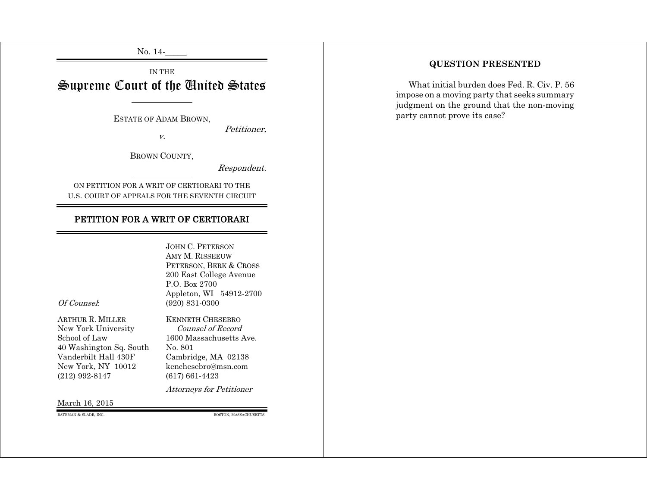No. 14-

IN THE Supreme Court of the United States

ESTATE OF ADAM BROWN,

v.

BROWN COUNTY,

Respondent.

Petitioner,

ON PETITION FOR A WRIT OF CERTIORARI TO THE U.S. COURT OF APPEALS FOR THE SEVENTH CIRCUIT

# PETITION FOR A WRIT OF CERTIORARI

## JOHN C. PETERSON AMY M. RISSEEUW PETERSON, BERK & CROSS 200 East College Avenue P.O. Box 2700 Appleton, WI 54912-2700 Of Counsel: (920) 831-0300

New York University Counsel of Record 40 Washington Sq. South No. 801<br>Vanderbilt Hall 430F Cambric New York, NY 10012 kenchesebro@msn.com (212) 992-8147 (617) 661-4423

ARTHUR R. MILLER KENNETH CHESEBRO School of Law 1600 Massachusetts Ave. Cambridge, MA 02138

Attorneys for Petitioner

#### March 16, 2015

BATEMAN & SLADE, INC. BOSTON, MASSACHUSETTS

# **QUESTION PRESENTED**

What initial burden does Fed. R. Civ. P. 56 impose on a moving party that seeks summary judgment on the ground that the non-moving party cannot prove its case?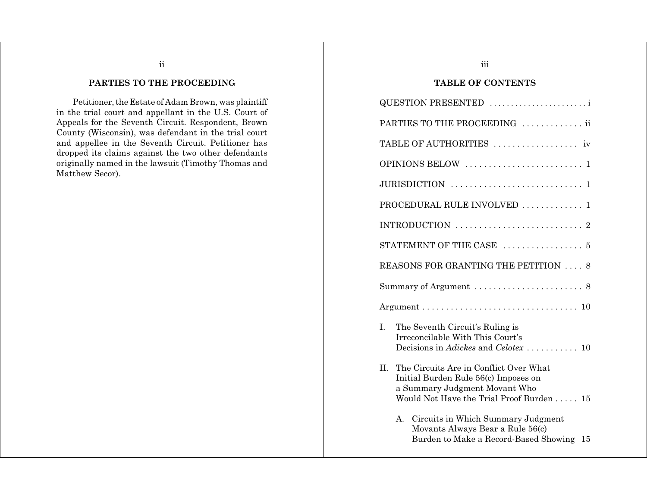# **PARTIES TO THE PROCEEDING**

ii

Petitioner, the Estate of Adam Brown, was plaintiff in the trial court and appellant in the U.S. Court of Appeals for the Seventh Circuit. Respondent, Brown County (Wisconsin), was defendant in the trial court and appellee in the Seventh Circuit. Petitioner has dropped its claims against the two other defendants originally named in the lawsuit (Timothy Thomas and Matthew Secor).

# iii

# **TABLE OF CONTENTS**

|    | QUESTION PRESENTED                                                                                                                                          |
|----|-------------------------------------------------------------------------------------------------------------------------------------------------------------|
|    | PARTIES TO THE PROCEEDING  ii                                                                                                                               |
|    |                                                                                                                                                             |
|    |                                                                                                                                                             |
|    |                                                                                                                                                             |
|    | PROCEDURAL RULE INVOLVED  1                                                                                                                                 |
|    |                                                                                                                                                             |
|    | STATEMENT OF THE CASE $\ldots \ldots \ldots \ldots \ldots$                                                                                                  |
|    | REASONS FOR GRANTING THE PETITION  8                                                                                                                        |
|    |                                                                                                                                                             |
|    | $Argument \ldots \ldots \ldots \ldots \ldots \ldots \ldots \ldots \ldots \ldots 10$                                                                         |
| I. | The Seventh Circuit's Ruling is<br>Irreconcilable With This Court's<br>Decisions in Adickes and Celotex  10                                                 |
| П. | The Circuits Are in Conflict Over What<br>Initial Burden Rule 56(c) Imposes on<br>a Summary Judgment Movant Who<br>Would Not Have the Trial Proof Burden 15 |
|    | Circuits in Which Summary Judgment<br>A.<br>Movants Always Bear a Rule 56(c)<br>Burden to Make a Record-Based Showing 15                                    |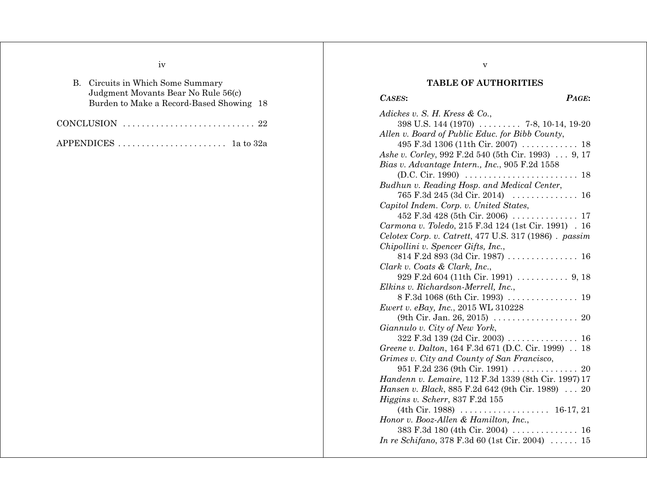iv

|                                     | B. Circuits in Which Some Summary                                       |  |  |
|-------------------------------------|-------------------------------------------------------------------------|--|--|
| Judgment Movants Bear No Rule 56(c) |                                                                         |  |  |
|                                     | Burden to Make a Record-Based Showing 18                                |  |  |
|                                     |                                                                         |  |  |
|                                     | CONCLUSION $\ldots \ldots \ldots \ldots \ldots \ldots \ldots \ldots 22$ |  |  |

APPENDICES . . . . . . . . . . . . . . . . . . . . . . . 1a to 32a

# **TABLE OF AUTHORITIES**

v

# *CASES***:** *PAGE***:**

| Adickes v. S. H. Kress & Co.,                                           |
|-------------------------------------------------------------------------|
| 398 U.S. 144 (1970)  7-8, 10-14, 19-20                                  |
| Allen v. Board of Public Educ. for Bibb County,                         |
| 495 F.3d 1306 (11th Cir. 2007)  18                                      |
| Ashe v. Corley, 992 F.2d 540 (5th Cir. 1993) 9, 17                      |
| Bias v. Advantage Intern., Inc., 905 F.2d 1558                          |
| (D.C. Cir. 1990)<br>18<br>.<br>.                                        |
| Budhun v. Reading Hosp. and Medical Center,                             |
| 765 F.3d 245 (3d Cir. 2014)<br>$\ldots$ .<br>16<br>.                    |
| Capitol Indem. Corp. v. United States,                                  |
|                                                                         |
| Carmona v. Toledo, 215 F.3d 124 (1st Cir. 1991) . 16                    |
| Celotex Corp. v. Catrett, 477 U.S. 317 (1986). passim                   |
| Chipollini v. Spencer Gifts, Inc.,                                      |
|                                                                         |
| Clark v. Coats & Clark, Inc.,                                           |
|                                                                         |
| Elkins v. Richardson-Merrell, Inc.,                                     |
|                                                                         |
| Ewert v. eBay, Inc., 2015 WL 310228                                     |
|                                                                         |
| Giannulo v. City of New York,                                           |
| $322$ F.3d 139 (2d Cir. 2003)<br>16                                     |
| Greene v. Dalton, 164 F.3d 671 (D.C. Cir. 1999)<br>18                   |
| Grimes v. City and County of San Francisco,                             |
| 951 F.2d 236 (9th Cir. 1991)  20                                        |
| Handenn v. Lemaire, 112 F.3d 1339 (8th Cir. 1997) 17                    |
| Hansen v. Black, 885 F.2d 642 (9th Cir. 1989)  20                       |
| Higgins v. Scherr, 837 F.2d 155                                         |
| $(4th Cir. 1988) \ldots \ldots \ldots \ldots$<br>$16-17, 21$<br>$\cdot$ |
| Honor v. Booz-Allen & Hamilton, Inc.,                                   |
| 383 F.3d 180 (4th Cir. 2004)  16                                        |
| <i>In re Schifano</i> , 378 F.3d 60 (1st Cir. 2004) $\ldots$ .<br>15    |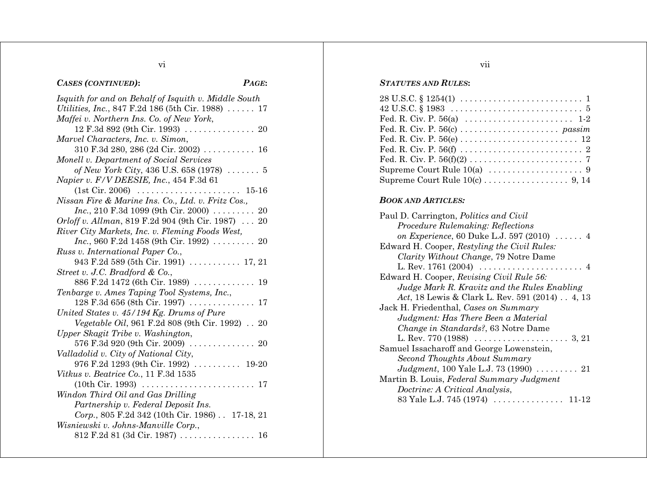# vi

# *CASES (CONTINUED)***:** *PAGE***:**

| Isquith for and on Behalf of Isquith v. Middle South       |
|------------------------------------------------------------|
| Utilities, Inc., 847 F.2d 186 (5th Cir. 1988)  17          |
| Maffei v. Northern Ins. Co. of New York,                   |
|                                                            |
| Marvel Characters, Inc. v. Simon,                          |
| 310 F.3d 280, 286 (2d Cir. 2002) $\ldots \ldots \ldots 16$ |
| Monell v. Department of Social Services                    |
| of New York City, 436 U.S. 658 (1978) $\ldots \ldots 5$    |
| Napier v. F/V DEESIE, Inc., 454 F.3d 61                    |
| (1st Cir. 2006)                                            |
| Nissan Fire & Marine Ins. Co., Ltd. v. Fritz Cos.,         |
| $Inc., 210 F.3d 1099 (9th Cir. 2000) \ldots 20$            |
| <i>Orloff v. Allman</i> , 819 F.2d 904 (9th Cir. 1987)  20 |
| River City Markets, Inc. v. Fleming Foods West,            |
| <i>Inc.</i> , 960 F.2d 1458 (9th Cir. 1992) $\ldots$ 20    |
| Russ v. International Paper Co.,                           |
| 943 F.2d 589 (5th Cir. 1991)  17, 21                       |
| Street v. J.C. Bradford & Co.,                             |
| 886 F.2d 1472 (6th Cir. 1989)  19                          |
| Tenbarge v. Ames Taping Tool Systems, Inc.,                |
| $128$ F.3d 656 (8th Cir. 1997)<br>. 17                     |
| United States v. 45/194 Kg. Drums of Pure                  |
| Vegetable Oil, 961 F.2d 808 (9th Cir. 1992) 20             |
| Upper Skagit Tribe v. Washington,                          |
| 576 F.3d 920 (9th Cir. 2009)  20                           |
| Valladolid v. City of National City,                       |
| 976 F.2d 1293 (9th Cir. 1992)  19-20                       |
| Vitkus v. Beatrice Co., 11 F.3d 1535                       |
|                                                            |
| Windon Third Oil and Gas Drilling                          |
| Partnership v. Federal Deposit Ins.                        |
| Corp., 805 F.2d 342 (10th Cir. 1986) 17-18, 21             |
| Wisniewski v. Johns-Manville Corp.,                        |
|                                                            |

#### *STATUTES AND RULES***:**

| $28 \text{ U.S.C.} \S 1254(1) \ldots \ldots \ldots \ldots \ldots \ldots \ldots \ldots 1$      |
|-----------------------------------------------------------------------------------------------|
| $42 \text{ U.S.C.} \$ $1983 \ldots \ldots \ldots \ldots \ldots \ldots \ldots \ldots \ldots 5$ |
|                                                                                               |
|                                                                                               |
|                                                                                               |
|                                                                                               |
|                                                                                               |
|                                                                                               |
|                                                                                               |

#### *BOOK AND ARTICLES:*

| Paul D. Carrington, <i>Politics and Civil</i>               |
|-------------------------------------------------------------|
| Procedure Rulemaking: Reflections                           |
| on <i>Experience</i> , 60 Duke L.J. 597 (2010) $\ldots$ . 4 |
| Edward H. Cooper, Restyling the Civil Rules:                |
| Clarity Without Change, 79 Notre Dame                       |
|                                                             |
| Edward H. Cooper, Revising Civil Rule 56:                   |
| Judge Mark R. Kravitz and the Rules Enabling                |
| Act, 18 Lewis & Clark L. Rev. 591 (2014) 4, 13              |
| Jack H. Friedenthal, Cases on Summary                       |
| Judgment: Has There Been a Material                         |
| Change in Standards?, 63 Notre Dame                         |
|                                                             |
| Samuel Issacharoff and George Lowenstein,                   |
| Second Thoughts About Summary                               |
| <i>Judgment</i> , 100 Yale L.J. 73 (1990) 21                |
| Martin B. Louis, Federal Summary Judgment                   |
| Doctrine: A Critical Analysis,                              |
| 83 Yale L.J. 745 (1974)<br>11-12                            |

# vii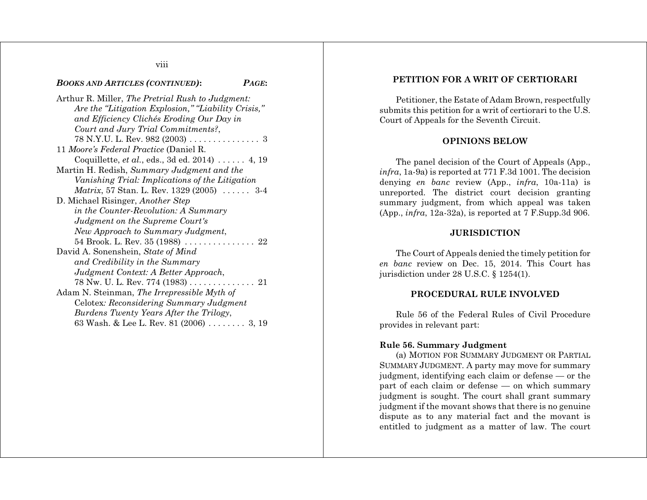viii

#### *BOOKS AND ARTICLES (CONTINUED)***:** *PAGE***:**

Arthur R. Miller, *The Pretrial Rush to Judgment: Are the "Litigation Explosion," "Liability Crisis," and Efficiency Clichés Eroding Our Day in Court and Jury Trial Commitments?*, 78 N.Y.U. L. Rev. 982 (2003) ............... 3 11 *Moore's Federal Practice* (Daniel R. Coquillette, *et al.*, eds., 3d ed. 2014) . . . . . . 4, 19 Martin H. Redish, *Summary Judgment and the Vanishing Trial: Implications of the Litigation Matrix*, 57 Stan. L. Rev. 1329 (2005) . . . . . . 3-4 D. Michael Risinger, *Another Step in the Counter-Revolution: A Summary Judgment on the Supreme Court's New Approach to Summary Judgment*, 54 Brook. L. Rev. 35 (1988) . . . . . . . . . . . . . . . 22 David A. Sonenshein, *State of Mind and Credibility in the Summary Judgment Context: A Better Approach*, 78 Nw. U. L. Rev. 774 (1983) . . . . . . . . . . . . . . 21 Adam N. Steinman, *The Irrepressible Myth of* Celotex*: Reconsidering Summary Judgment Burdens Twenty Years After the Trilogy*, 63 Wash. & Lee L. Rev. 81 (2006) . . . . . . . . 3, 19

# **PETITION FOR A WRIT OF CERTIORARI**

Petitioner, the Estate of Adam Brown, respectfully submits this petition for a writ of certiorari to the U.S. Court of Appeals for the Seventh Circuit.

#### **OPINIONS BELOW**

The panel decision of the Court of Appeals (App., *infra*, 1a-9a) is reported at 771 F.3d 1001. The decision denying *en banc* review (App., *infra*, 10a-11a) is unreported. The district court decision granting summary judgment, from which appeal was taken (App., *infra*, 12a-32a), is reported at 7 F.Supp.3d 906.

#### **JURISDICTION**

The Court of Appeals denied the timely petition for *en banc* review on Dec. 15, 2014. This Court has jurisdiction under 28 U.S.C. § 1254(1).

# **PROCEDURAL RULE INVOLVED**

Rule 56 of the Federal Rules of Civil Procedure provides in relevant part:

# **Rule 56. Summary Judgment**

(a) MOTION FOR SUMMARY JUDGMENT OR PARTIAL SUMMARY JUDGMENT. A party may move for summary judgment, identifying each claim or defense — or the part of each claim or defense — on which summary judgment is sought. The court shall grant summary judgment if the movant shows that there is no genuine dispute as to any material fact and the movant is entitled to judgment as a matter of law. The court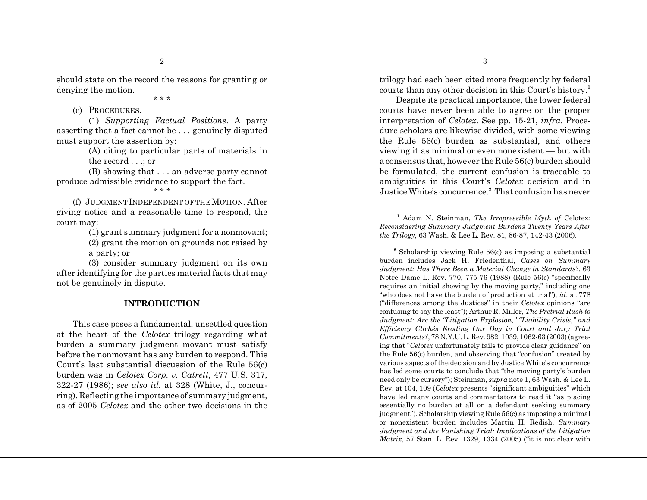should state on the record the reasons for granting or denying the motion.

\* \* \*

### (c) PROCEDURES.

(1) *Supporting Factual Positions*. A party asserting that a fact cannot be . . . genuinely disputed must support the assertion by:

> (A) citing to particular parts of materials in the record . . .; or

(B) showing that . . . an adverse party cannot produce admissible evidence to support the fact.

#### \* \* \*

(f) JUDGMENT INDEPENDENT OF THE MOTION. After giving notice and a reasonable time to respond, the court may:

(1) grant summary judgment for a nonmovant;

(2) grant the motion on grounds not raised by a party; or

(3) consider summary judgment on its own after identifying for the parties material facts that may not be genuinely in dispute.

### **INTRODUCTION**

This case poses a fundamental, unsettled question at the heart of the *Celotex* trilogy regarding what burden a summary judgment movant must satisfy before the nonmovant has any burden to respond. This Court's last substantial discussion of the Rule 56(c) burden was in *Celotex Corp. v. Catrett*, 477 U.S. 317, 322-27 (1986); *see also id.* at 328 (White, J., concurring). Reflecting the importance of summary judgment, as of 2005 *Celotex* and the other two decisions in the trilogy had each been cited more frequently by federal courts than any other decision in this Court's history.**<sup>1</sup>**

Despite its practical importance, the lower federal courts have never been able to agree on the proper interpretation of *Celotex*. See pp. 15-21, *infra*. Procedure scholars are likewise divided, with some viewing the Rule 56(c) burden as substantial, and others viewing it as minimal or even nonexistent — but with a consensus that, however the Rule 56(c) burden should be formulated, the current confusion is traceable to ambiguities in this Court's *Celotex* decision and in Justice White's concurrence.**<sup>2</sup>** That confusion has never

**<sup>1</sup>** Adam N. Steinman, *The Irrepressible Myth of* Celotex*: Reconsidering Summary Judgment Burdens Twenty Years After the Trilogy*, 63 Wash. & Lee L. Rev. 81, 86-87, 142-43 (2006).

**<sup>2</sup>** Scholarship viewing Rule 56(c) as imposing a substantial burden includes Jack H. Friedenthal, *Cases on Summary Judgment: Has There Been a Material Change in Standards*?, 63 Notre Dame L. Rev. 770, 775-76 (1988) (Rule 56(c) "specifically requires an initial showing by the moving party," including one "who does not have the burden of production at trial"); *id*. at 778 ("differences among the Justices" in their *Celotex* opinions "are confusing to say the least"); Arthur R. Miller, *The Pretrial Rush to Judgment: Are the "Litigation Explosion," "Liability Crisis," and Efficiency Clichés Eroding Our Day in Court and Jury Trial Commitments?*, 78 N.Y.U. L. Rev. 982, 1039, 1062-63 (2003) (agreeing that "*Celotex* unfortunately fails to provide clear guidance" on the Rule 56(c) burden, and observing that "confusion" created by various aspects of the decision and by Justice White's concurrence has led some courts to conclude that "the moving party's burden need only be cursory"); Steinman, *supra* note 1, 63 Wash. & Lee L. Rev. at 104, 109 (*Celotex* presents "significant ambiguities" which have led many courts and commentators to read it "as placing essentially no burden at all on a defendant seeking summary judgment"). Scholarship viewing Rule 56(c) as imposing a minimal or nonexistent burden includes Martin H. Redish, *Summary Judgment and the Vanishing Trial: Implications of the Litigation Matrix*, 57 Stan. L. Rev. 1329, 1334 (2005) ("it is not clear with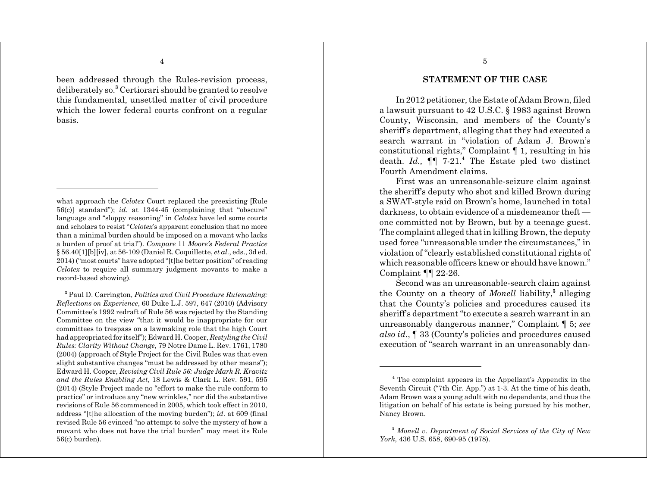been addressed through the Rules-revision process, deliberately so.**<sup>3</sup>** Certiorari should be granted to resolve this fundamental, unsettled matter of civil procedure which the lower federal courts confront on a regular basis.

**<sup>3</sup>** Paul D. Carrington, *Politics and Civil Procedure Rulemaking: Reflections on Experience*, 60 Duke L.J. 597, 647 (2010) (Advisory Committee's 1992 redraft of Rule 56 was rejected by the Standing Committee on the view "that it would be inappropriate for our committees to trespass on a lawmaking role that the high Court had appropriated for itself"); Edward H. Cooper, *Restyling the Civil Rules: Clarity Without Change*, 79 Notre Dame L. Rev. 1761, 1780 (2004) (approach of Style Project for the Civil Rules was that even slight substantive changes "must be addressed by other means"); Edward H. Cooper, *Revising Civil Rule 56: Judge Mark R. Kravitz and the Rules Enabling Act*, 18 Lewis & Clark L. Rev. 591, 595 (2014) (Style Project made no "effort to make the rule conform to practice" or introduce any "new wrinkles," nor did the substantive revisions of Rule 56 commenced in 2005, which took effect in 2010, address "[t]he allocation of the moving burden"); *id*. at 609 (final revised Rule 56 evinced "no attempt to solve the mystery of how a movant who does not have the trial burden" may meet its Rule 56(c) burden).

**STATEMENT OF THE CASE**

In 2012 petitioner, the Estate of Adam Brown, filed a lawsuit pursuant to 42 U.S.C. § 1983 against Brown County, Wisconsin, and members of the County's sheriff's department, alleging that they had executed a search warrant in "violation of Adam J. Brown's constitutional rights," Complaint ¶ 1, resulting in his death. *Id.,* ¶¶ 7-21.**<sup>4</sup>** The Estate pled two distinct Fourth Amendment claims.

First was an unreasonable-seizure claim against the sheriff's deputy who shot and killed Brown during a SWAT-style raid on Brown's home, launched in total darkness, to obtain evidence of a misdemeanor theft one committed not by Brown, but by a teenage guest. The complaint alleged that in killing Brown, the deputy used force "unreasonable under the circumstances," in violation of "clearly established constitutional rights of which reasonable officers knew or should have known." Complaint ¶¶ 22-26.

Second was an unreasonable-search claim against the County on a theory of *Monell* liability,**<sup>5</sup>** alleging that the County's policies and procedures caused its sheriff's department "to execute a search warrant in an unreasonably dangerous manner," Complaint ¶ 5; *see also id*., ¶ 33 (County's policies and procedures caused execution of "search warrant in an unreasonably dan-

what approach the *Celotex* Court replaced the preexisting [Rule 56(c)] standard"); *id*. at 1344-45 (complaining that "obscure" language and "sloppy reasoning" in *Celotex* have led some courts and scholars to resist "*Celotex*'s apparent conclusion that no more than a minimal burden should be imposed on a movant who lacks a burden of proof at trial"). *Compare* 11 *Moore's Federal Practice* § 56.40[1][b][iv], at 56-109 (Daniel R. Coquillette, *et al.*, eds., 3d ed. 2014) ("most courts" have adopted "[t]he better position" of reading *Celotex* to require all summary judgment movants to make a record-based showing).

**<sup>4</sup>** The complaint appears in the Appellant's Appendix in the Seventh Circuit ("7th Cir. App.") at 1-3. At the time of his death, Adam Brown was a young adult with no dependents, and thus the litigation on behalf of his estate is being pursued by his mother, Nancy Brown.

**<sup>5</sup>** *Monell v. Department of Social Services of the City of New York*, 436 U.S. 658, 690-95 (1978).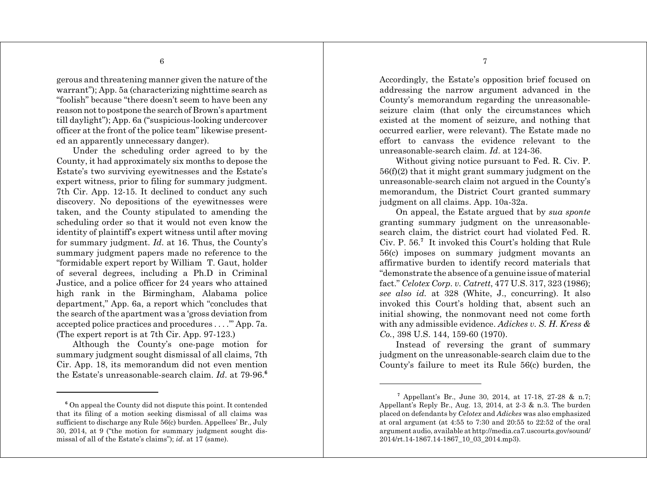gerous and threatening manner given the nature of the warrant"); App. 5a (characterizing nighttime search as "foolish" because "there doesn't seem to have been any reason not to postpone the search of Brown's apartment till daylight"); App. 6a ("suspicious-looking undercover officer at the front of the police team" likewise presented an apparently unnecessary danger).

Under the scheduling order agreed to by the County, it had approximately six months to depose the Estate's two surviving eyewitnesses and the Estate's expert witness, prior to filing for summary judgment. 7th Cir. App. 12-15. It declined to conduct any such discovery. No depositions of the eyewitnesses were taken, and the County stipulated to amending the scheduling order so that it would not even know the identity of plaintiff's expert witness until after moving for summary judgment. *Id*. at 16. Thus, the County's summary judgment papers made no reference to the "formidable expert report by William T. Gaut, holder of several degrees, including a Ph.D in Criminal Justice, and a police officer for 24 years who attained high rank in the Birmingham, Alabama police department," App. 6a, a report which "concludes that the search of the apartment was a 'gross deviation from accepted police practices and procedures . . . .'" App. 7a. (The expert report is at 7th Cir. App. 97-123.)

Although the County's one-page motion for summary judgment sought dismissal of all claims, 7th Cir. App. 18, its memorandum did not even mention the Estate's unreasonable-search claim. *Id*. at 79-96.**<sup>6</sup>**

Accordingly, the Estate's opposition brief focused on addressing the narrow argument advanced in the County's memorandum regarding the unreasonableseizure claim (that only the circumstances which existed at the moment of seizure, and nothing that occurred earlier, were relevant). The Estate made no effort to canvass the evidence relevant to the unreasonable-search claim. *Id*. at 124-36.

Without giving notice pursuant to Fed. R. Civ. P.  $56(f)(2)$  that it might grant summary judgment on the unreasonable-search claim not argued in the County's memorandum, the District Court granted summary judgment on all claims. App. 10a-32a.

On appeal, the Estate argued that by *sua sponte* granting summary judgment on the unreasonablesearch claim, the district court had violated Fed. R. Civ. P. 56.**<sup>7</sup>** It invoked this Court's holding that Rule 56(c) imposes on summary judgment movants an affirmative burden to identify record materials that "demonstrate the absence of a genuine issue of material fact." *Celotex Corp. v. Catrett*, 477 U.S. 317, 323 (1986); *see also id.* at 328 (White, J., concurring). It also invoked this Court's holding that, absent such an initial showing, the nonmovant need not come forth with any admissible evidence. *Adickes v. S. H. Kress & Co.*, 398 U.S. 144, 159-60 (1970).

Instead of reversing the grant of summary judgment on the unreasonable-search claim due to the County's failure to meet its Rule 56(c) burden, the

**<sup>6</sup>** On appeal the County did not dispute this point. It contended that its filing of a motion seeking dismissal of all claims was sufficient to discharge any Rule 56(c) burden. Appellees' Br., July 30, 2014, at 9 ("the motion for summary judgment sought dismissal of all of the Estate's claims"); *id*. at 17 (same).

**<sup>7</sup>** Appellant's Br., June 30, 2014, at 17-18, 27-28 & n.7; Appellant's Reply Br., Aug. 13, 2014, at 2-3 & n.3. The burden placed on defendants by *Celotex* and *Adickes* was also emphasized at oral argument (at 4:55 to 7:30 and 20:55 to 22:52 of the oral argument audio, available at http://media.ca7.uscourts.gov/sound/ 2014/rt.14-1867.14-1867\_10\_03\_2014.mp3).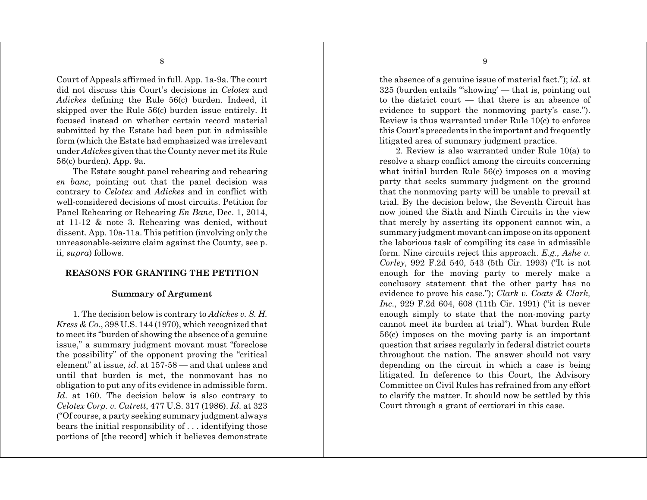Court of Appeals affirmed in full. App. 1a-9a. The court did not discuss this Court's decisions in *Celotex* and *Adickes* defining the Rule 56(c) burden. Indeed, it skipped over the Rule 56(c) burden issue entirely. It focused instead on whether certain record material submitted by the Estate had been put in admissible form (which the Estate had emphasized was irrelevant under *Adickes* given that the County never met its Rule 56(c) burden). App. 9a.

The Estate sought panel rehearing and rehearing *en banc*, pointing out that the panel decision was contrary to *Celotex* and *Adickes* and in conflict with well-considered decisions of most circuits. Petition for Panel Rehearing or Rehearing *En Banc*, Dec. 1, 2014, at 11-12 & note 3. Rehearing was denied, without dissent. App. 10a-11a. This petition (involving only the unreasonable-seizure claim against the County, see p. ii, *supra*) follows.

# **REASONS FOR GRANTING THE PETITION**

# **Summary of Argument**

1. The decision below is contrary to *Adickes v. S. H. Kress & Co.*, 398 U.S. 144 (1970), which recognized that to meet its "burden of showing the absence of a genuine issue," a summary judgment movant must "foreclose the possibility" of the opponent proving the "critical element" at issue, *id*. at 157-58 — and that unless and until that burden is met, the nonmovant has no obligation to put any of its evidence in admissible form. *Id*. at 160. The decision below is also contrary to *Celotex Corp. v. Catrett*, 477 U.S. 317 (1986). *Id*. at 323 ("Of course, a party seeking summary judgment always bears the initial responsibility of . . . identifying those portions of [the record] which it believes demonstrate

the absence of a genuine issue of material fact."); *id*. at 325 (burden entails "'showing' — that is, pointing out to the district court — that there is an absence of evidence to support the nonmoving party's case."). Review is thus warranted under Rule 10(c) to enforce this Court's precedents in the important and frequently litigated area of summary judgment practice.

2. Review is also warranted under Rule 10(a) to resolve a sharp conflict among the circuits concerning what initial burden Rule 56(c) imposes on a moving party that seeks summary judgment on the ground that the nonmoving party will be unable to prevail at trial. By the decision below, the Seventh Circuit has now joined the Sixth and Ninth Circuits in the view that merely by asserting its opponent cannot win, a summary judgment movant can impose on its opponent the laborious task of compiling its case in admissible form. Nine circuits reject this approach. *E.g.*, *Ashe v. Corley*, 992 F.2d 540, 543 (5th Cir. 1993) ("It is not enough for the moving party to merely make a conclusory statement that the other party has no evidence to prove his case."); *Clark v. Coats & Clark, Inc*., 929 F.2d 604, 608 (11th Cir. 1991) ("it is never enough simply to state that the non-moving party cannot meet its burden at trial"). What burden Rule 56(c) imposes on the moving party is an important question that arises regularly in federal district courts throughout the nation. The answer should not vary depending on the circuit in which a case is being litigated. In deference to this Court, the Advisory Committee on Civil Rules has refrained from any effort to clarify the matter. It should now be settled by this Court through a grant of certiorari in this case.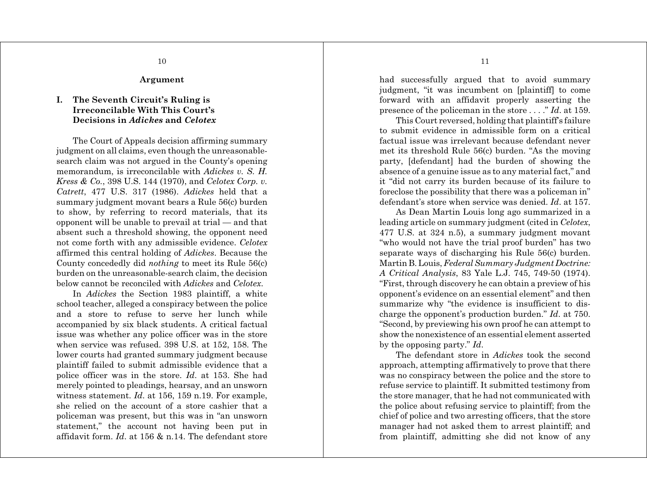**Argument**

# **I. The Seventh Circuit's Ruling is Irreconcilable With This Court's Decisions in** *Adickes* **and** *Celotex*

The Court of Appeals decision affirming summary judgment on all claims, even though the unreasonablesearch claim was not argued in the County's opening memorandum, is irreconcilable with *Adickes v. S. H. Kress & Co.*, 398 U.S. 144 (1970), and *Celotex Corp. v. Catrett*, 477 U.S. 317 (1986). *Adickes* held that a summary judgment movant bears a Rule 56(c) burden to show, by referring to record materials, that its opponent will be unable to prevail at trial — and that absent such a threshold showing, the opponent need not come forth with any admissible evidence. *Celotex* affirmed this central holding of *Adickes*. Because the County concededly did *nothing* to meet its Rule 56(c) burden on the unreasonable-search claim, the decision below cannot be reconciled with *Adickes* and *Celotex*.

In *Adickes* the Section 1983 plaintiff, a white school teacher, alleged a conspiracy between the police and a store to refuse to serve her lunch while accompanied by six black students. A critical factual issue was whether any police officer was in the store when service was refused. 398 U.S. at 152, 158. The lower courts had granted summary judgment because plaintiff failed to submit admissible evidence that a police officer was in the store. *Id*. at 153. She had merely pointed to pleadings, hearsay, and an unsworn witness statement. *Id*. at 156, 159 n.19. For example, she relied on the account of a store cashier that a policeman was present, but this was in "an unsworn statement," the account not having been put in affidavit form. *Id*. at 156 & n.14. The defendant store

had successfully argued that to avoid summary judgment, "it was incumbent on [plaintiff] to come forward with an affidavit properly asserting the presence of the policeman in the store . . . ." *Id*. at 159.

This Court reversed, holding that plaintiff's failure to submit evidence in admissible form on a critical factual issue was irrelevant because defendant never met its threshold Rule 56(c) burden. "As the moving party, [defendant] had the burden of showing the absence of a genuine issue as to any material fact," and it "did not carry its burden because of its failure to foreclose the possibility that there was a policeman in" defendant's store when service was denied. *Id*. at 157.

As Dean Martin Louis long ago summarized in a leading article on summary judgment (cited in *Celotex*, 477 U.S. at 324 n.5), a summary judgment movant "who would not have the trial proof burden" has two separate ways of discharging his Rule 56(c) burden. Martin B. Louis, *Federal Summary Judgment Doctrine: A Critical Analysis*, 83 Yale L.J. 745, 749-50 (1974). "First, through discovery he can obtain a preview of his opponent's evidence on an essential element" and then summarize why "the evidence is insufficient to discharge the opponent's production burden." *Id*. at 750. "Second, by previewing his own proof he can attempt to show the nonexistence of an essential element asserted by the opposing party." *Id*.

The defendant store in *Adickes* took the second approach, attempting affirmatively to prove that there was no conspiracy between the police and the store to refuse service to plaintiff. It submitted testimony from the store manager, that he had not communicated with the police about refusing service to plaintiff; from the chief of police and two arresting officers, that the store manager had not asked them to arrest plaintiff; and from plaintiff, admitting she did not know of any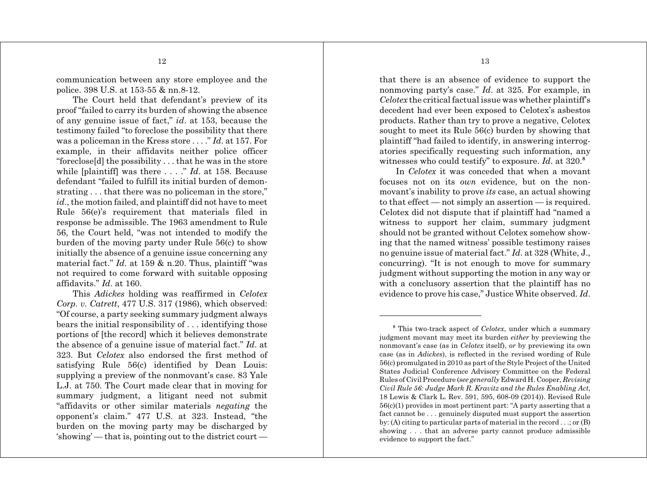communication between any store employee and the police. 398 U.S. at 153-55 & nn.8-12.

The Court held that defendant's preview of its proof "failed to carry its burden of showing the absence of any genuine issue of fact," *id*. at 153, because the testimony failed "to foreclose the possibility that there was a policeman in the Kress store . . . ." *Id*. at 157. For example, in their affidavits neither police officer "foreclose[d] the possibility . . . that he was in the store while [plaintiff] was there . . . ." *Id*. at 158. Because defendant "failed to fulfill its initial burden of demonstrating . . . that there was no policeman in the store," *id*., the motion failed, and plaintiff did not have to meet Rule 56(e)'s requirement that materials filed in response be admissible. The 1963 amendment to Rule 56, the Court held, "was not intended to modify the burden of the moving party under Rule 56(c) to show initially the absence of a genuine issue concerning any material fact." *Id*. at 159 & n.20. Thus, plaintiff "was not required to come forward with suitable opposing affidavits." *Id*. at 160.

This *Adickes* holding was reaffirmed in *Celotex Corp. v. Catrett*, 477 U.S. 317 (1986), which observed: "Of course, a party seeking summary judgment always bears the initial responsibility of . . . identifying those portions of [the record] which it believes demonstrate the absence of a genuine issue of material fact." *Id*. at 323. But *Celotex* also endorsed the first method of satisfying Rule 56(c) identified by Dean Louis: supplying a preview of the nonmovant's case. 83 Yale L.J. at 750. The Court made clear that in moving for summary judgment, a litigant need not submit "affidavits or other similar materials *negating* the opponent's claim." 477 U.S. at 323. Instead, "the burden on the moving party may be discharged by 'showing' — that is, pointing out to the district court —

that there is an absence of evidence to support the nonmoving party's case." *Id*. at 325. For example, in *Celotex* the critical factual issue was whether plaintiff's decedent had ever been exposed to Celotex's asbestos products. Rather than try to prove a negative, Celotex sought to meet its Rule 56(c) burden by showing that plaintiff "had failed to identify, in answering interrogatories specifically requesting such information, any witnesses who could testify" to exposure. *Id*. at 320.**<sup>8</sup>**

In *Celotex* it was conceded that when a movant focuses not on its *own* evidence, but on the nonmovant's inability to prove *its* case, an actual showing to that effect — not simply an assertion — is required. Celotex did not dispute that if plaintiff had "named a witness to support her claim, summary judgment should not be granted without Celotex somehow showing that the named witness' possible testimony raises no genuine issue of material fact." *Id*. at 328 (White, J., concurring). "It is not enough to move for summary judgment without supporting the motion in any way or with a conclusory assertion that the plaintiff has no evidence to prove his case," Justice White observed. *Id*.

**<sup>8</sup>** This two-track aspect of *Celotex*, under which a summary judgment movant may meet its burden *either* by previewing the nonmovant's case (as in *Celotex* itself), *or* by previewing its own case (as in *Adickes*), is reflected in the revised wording of Rule 56(c) promulgated in 2010 as part of the Style Project of the United States Judicial Conference Advisory Committee on the Federal Rules of Civil Procedure (*see generally* Edward H. Cooper, *Revising Civil Rule 56: Judge Mark R. Kravitz and the Rules Enabling Act*, 18 Lewis & Clark L. Rev. 591, 595, 608-09 (2014)). Revised Rule 56(c)(1) provides in most pertinent part: "A party asserting that a fact cannot be . . . genuinely disputed must support the assertion by: (A) citing to particular parts of material in the record . . .; or (B) showing . . . that an adverse party cannot produce admissible evidence to support the fact."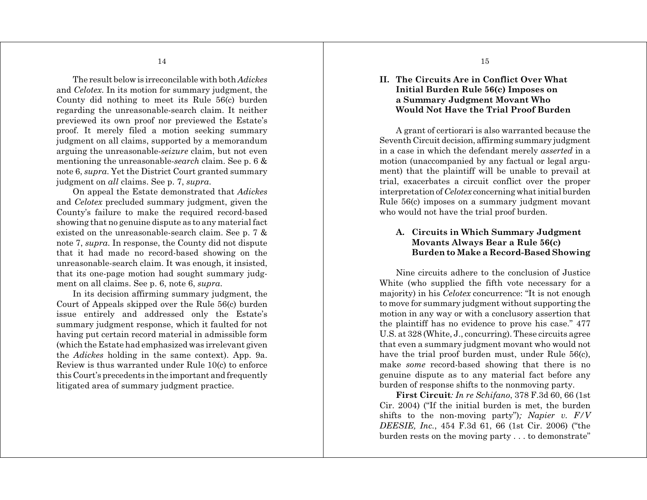The result below is irreconcilable with both *Adickes* and *Celotex*. In its motion for summary judgment, the County did nothing to meet its Rule 56(c) burden regarding the unreasonable-search claim. It neither previewed its own proof nor previewed the Estate's proof. It merely filed a motion seeking summary judgment on all claims, supported by a memorandum arguing the unreasonable-*seizure* claim, but not even mentioning the unreasonable-*search* claim. See p. 6 & note 6, *supra*. Yet the District Court granted summary judgment on *all* claims. See p. 7, *supra*.

On appeal the Estate demonstrated that *Adickes* and *Celotex* precluded summary judgment, given the County's failure to make the required record-based showing that no genuine dispute as to any material fact existed on the unreasonable-search claim. See p. 7 & note 7, *supra*. In response, the County did not dispute that it had made no record-based showing on the unreasonable-search claim. It was enough, it insisted, that its one-page motion had sought summary judgment on all claims. See p. 6, note 6, *supra*.

In its decision affirming summary judgment, the Court of Appeals skipped over the Rule 56(c) burden issue entirely and addressed only the Estate's summary judgment response, which it faulted for not having put certain record material in admissible form (which the Estate had emphasized was irrelevant given the *Adickes* holding in the same context). App. 9a. Review is thus warranted under Rule 10(c) to enforce this Court's precedents in the important and frequently litigated area of summary judgment practice.

**II. The Circuits Are in Conflict Over What Initial Burden Rule 56(c) Imposes on a Summary Judgment Movant Who Would Not Have the Trial Proof Burden**

A grant of certiorari is also warranted because the Seventh Circuit decision, affirming summary judgment in a case in which the defendant merely *asserted* in a motion (unaccompanied by any factual or legal argument) that the plaintiff will be unable to prevail at trial, exacerbates a circuit conflict over the proper interpretation of *Celotex* concerning what initial burden Rule 56(c) imposes on a summary judgment movant who would not have the trial proof burden.

# **A. Circuits in Which Summary Judgment Movants Always Bear a Rule 56(c) Burden to Make a Record-Based Showing**

Nine circuits adhere to the conclusion of Justice White (who supplied the fifth vote necessary for a majority) in his *Celotex* concurrence: "It is not enough to move for summary judgment without supporting the motion in any way or with a conclusory assertion that the plaintiff has no evidence to prove his case." 477 U.S. at 328 (White, J., concurring). These circuits agree that even a summary judgment movant who would not have the trial proof burden must, under Rule 56(c), make *some* record-based showing that there is no genuine dispute as to any material fact before any burden of response shifts to the nonmoving party.

**First Circuit***: In re Schifano*, 378 F.3d 60, 66 (1st Cir. 2004) ("If the initial burden is met, the burden shifts to the non-moving party")*; Napier v. F/V DEESIE, Inc.*, 454 F.3d 61, 66 (1st Cir. 2006) ("the burden rests on the moving party . . . to demonstrate"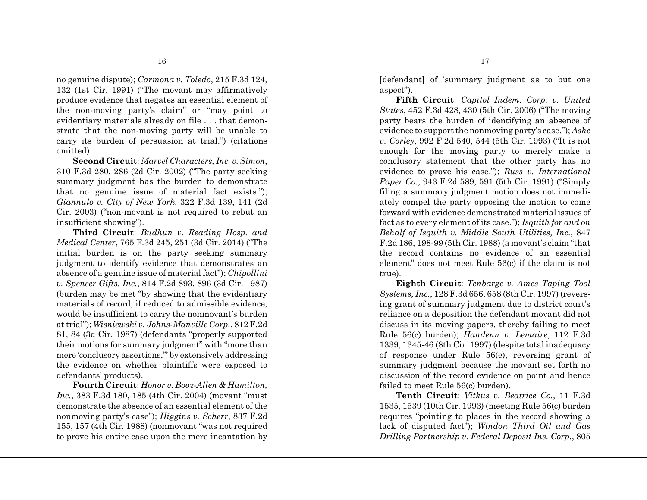no genuine dispute); *Carmona v. Toledo*, 215 F.3d 124, 132 (1st Cir. 1991) ("The movant may affirmatively produce evidence that negates an essential element of the non-moving party's claim" or "may point to evidentiary materials already on file . . . that demonstrate that the non-moving party will be unable to carry its burden of persuasion at trial.") (citations omitted).

**Second Circuit**: *Marvel Characters, Inc. v. Simon*, 310 F.3d 280, 286 (2d Cir. 2002) ("The party seeking summary judgment has the burden to demonstrate that no genuine issue of material fact exists."); *Giannulo v. City of New York*, 322 F.3d 139, 141 (2d Cir. 2003) ("non-movant is not required to rebut an insufficient showing").

**Third Circuit**: *Budhun v. Reading Hosp. and Medical Center*, 765 F.3d 245, 251 (3d Cir. 2014) ("The initial burden is on the party seeking summary judgment to identify evidence that demonstrates an absence of a genuine issue of material fact"); *Chipollini v. Spencer Gifts, Inc.*, 814 F.2d 893, 896 (3d Cir. 1987) (burden may be met "by showing that the evidentiary materials of record, if reduced to admissible evidence, would be insufficient to carry the nonmovant's burden at trial"); *Wisniewski v. Johns-Manville Corp.*, 812 F.2d 81, 84 (3d Cir. 1987) (defendants "properly supported their motions for summary judgment" with "more than mere 'conclusory assertions,'" by extensively addressing the evidence on whether plaintiffs were exposed to defendants' products).

**Fourth Circuit**: *Honor v. Booz-Allen & Hamilton, Inc.*, 383 F.3d 180, 185 (4th Cir. 2004) (movant "must demonstrate the absence of an essential element of the nonmoving party's case"); *Higgins v. Scherr*, 837 F.2d 155, 157 (4th Cir. 1988) (nonmovant "was not required to prove his entire case upon the mere incantation by

[defendant] of 'summary judgment as to but one aspect").

**Fifth Circuit**: *Capitol Indem. Corp. v. United States*, 452 F.3d 428, 430 (5th Cir. 2006) ("The moving party bears the burden of identifying an absence of evidence to support the nonmoving party's case."); *Ashe v. Corley*, 992 F.2d 540, 544 (5th Cir. 1993) ("It is not enough for the moving party to merely make a conclusory statement that the other party has no evidence to prove his case."); *Russ v. International Paper Co.*, 943 F.2d 589, 591 (5th Cir. 1991) ("Simply filing a summary judgment motion does not immediately compel the party opposing the motion to come forward with evidence demonstrated material issues of fact as to every element of its case."); *Isquith for and on Behalf of Isquith v. Middle South Utilities, Inc.*, 847 F.2d 186, 198-99 (5th Cir. 1988) (a movant's claim "that the record contains no evidence of an essential element" does not meet Rule 56(c) if the claim is not true).

**Eighth Circuit**: *Tenbarge v. Ames Taping Tool Systems, Inc.*, 128 F.3d 656, 658 (8th Cir. 1997) (reversing grant of summary judgment due to district court's reliance on a deposition the defendant movant did not discuss in its moving papers, thereby failing to meet Rule 56(c) burden); *Handenn v. Lemaire*, 112 F.3d 1339, 1345-46 (8th Cir. 1997) (despite total inadequacy of response under Rule 56(e), reversing grant of summary judgment because the movant set forth no discussion of the record evidence on point and hence failed to meet Rule 56(c) burden).

**Tenth Circuit**: *Vitkus v. Beatrice Co.*, 11 F.3d 1535, 1539 (10th Cir. 1993) (meeting Rule 56(c) burden requires "pointing to places in the record showing a lack of disputed fact"); *Windon Third Oil and Gas Drilling Partnership v. Federal Deposit Ins. Corp.*, 805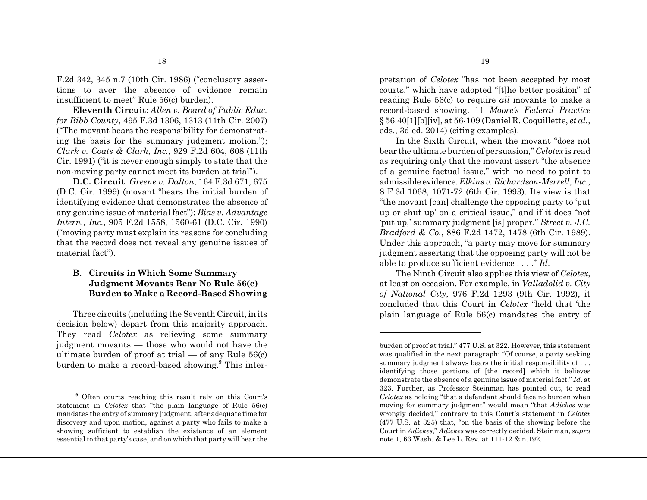F.2d 342, 345 n.7 (10th Cir. 1986) ("conclusory assertions to aver the absence of evidence remain insufficient to meet" Rule 56(c) burden).

**Eleventh Circuit**: *Allen v. Board of Public Educ. for Bibb County*, 495 F.3d 1306, 1313 (11th Cir. 2007) ("The movant bears the responsibility for demonstrating the basis for the summary judgment motion."); *Clark v. Coats & Clark, Inc.*, 929 F.2d 604, 608 (11th Cir. 1991) ("it is never enough simply to state that the non-moving party cannot meet its burden at trial").

**D.C. Circuit**: *Greene v. Dalton*, 164 F.3d 671, 675 (D.C. Cir. 1999) (movant "bears the initial burden of identifying evidence that demonstrates the absence of any genuine issue of material fact"); *Bias v. Advantage Intern., Inc.*, 905 F.2d 1558, 1560-61 (D.C. Cir. 1990) ("moving party must explain its reasons for concluding that the record does not reveal any genuine issues of material fact").

# **B. Circuits in Which Some Summary Judgment Movants Bear No Rule 56(c) Burden to Make a Record-Based Showing**

Three circuits (including the Seventh Circuit, in its decision below) depart from this majority approach. They read *Celotex* as relieving some summary judgment movants — those who would not have the ultimate burden of proof at trial — of any Rule  $56(c)$ burden to make a record-based showing.**<sup>9</sup>** This inter-

pretation of *Celotex* "has not been accepted by most courts," which have adopted "[t]he better position" of reading Rule 56(c) to require *all* movants to make a record-based showing. 11 *Moore's Federal Practice* § 56.40[1][b][iv], at 56-109 (Daniel R. Coquillette, *et al.*, eds., 3d ed. 2014) (citing examples).

In the Sixth Circuit, when the movant "does not bear the ultimate burden of persuasion," *Celotex* is read as requiring only that the movant assert "the absence of a genuine factual issue," with no need to point to admissible evidence. *Elkins v. Richardson-Merrell, Inc.*, 8 F.3d 1068, 1071-72 (6th Cir. 1993). Its view is that "the movant [can] challenge the opposing party to 'put up or shut up' on a critical issue," and if it does "not 'put up,' summary judgment [is] proper." *Street v. J.C. Bradford & Co.*, 886 F.2d 1472, 1478 (6th Cir. 1989). Under this approach, "a party may move for summary judgment asserting that the opposing party will not be able to produce sufficient evidence . . . ." *Id*.

The Ninth Circuit also applies this view of *Celotex*, at least on occasion. For example, in *Valladolid v. City of National City*, 976 F.2d 1293 (9th Cir. 1992), it concluded that this Court in *Celotex* "held that 'the plain language of Rule 56(c) mandates the entry of

**<sup>9</sup>** Often courts reaching this result rely on this Court's statement in *Celotex* that "the plain language of Rule 56(c) mandates the entry of summary judgment, after adequate time for discovery and upon motion, against a party who fails to make a showing sufficient to establish the existence of an element essential to that party's case, and on which that party will bear the

burden of proof at trial." 477 U.S. at 322. However, this statement was qualified in the next paragraph: "Of course, a party seeking summary judgment always bears the initial responsibility of . . . identifying those portions of [the record] which it believes demonstrate the absence of a genuine issue of material fact." *Id*. at 323. Further, as Professor Steinman has pointed out, to read *Celotex* as holding "that a defendant should face no burden when moving for summary judgment" would mean "that *Adickes* was wrongly decided," contrary to this Court's statement in *Celotex* (477 U.S. at 325) that, "on the basis of the showing before the Court in *Adickes*," *Adickes* was correctly decided. Steinman, *supra* note 1, 63 Wash. & Lee L. Rev. at 111-12 & n.192.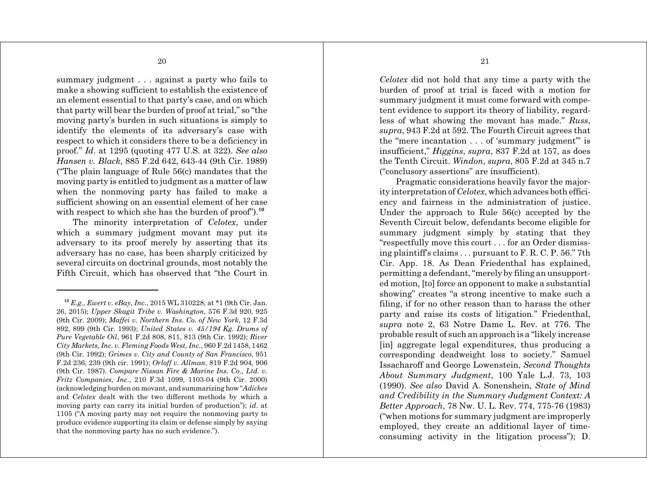summary judgment . . . against a party who fails to make a showing sufficient to establish the existence of an element essential to that party's case, and on which that party will bear the burden of proof at trial," so "the moving party's burden in such situations is simply to identify the elements of its adversary's case with respect to which it considers there to be a deficiency in proof." *Id*. at 1295 (quoting 477 U.S. at 322). *See also Hansen v. Black*, 885 F.2d 642, 643-44 (9th Cir. 1989) ("The plain language of Rule 56(c) mandates that the moving party is entitled to judgment as a matter of law when the nonmoving party has failed to make a sufficient showing on an essential element of her case with respect to which she has the burden of proof").<sup>10</sup>

The minority interpretation of *Celotex*, under which a summary judgment movant may put its adversary to its proof merely by asserting that its adversary has no case, has been sharply criticized by several circuits on doctrinal grounds, most notably the Fifth Circuit, which has observed that "the Court in

*Celotex* did not hold that any time a party with the burden of proof at trial is faced with a motion for summary judgment it must come forward with competent evidence to support its theory of liability, regardless of what showing the movant has made." *Russ*, *supra*, 943 F.2d at 592. The Fourth Circuit agrees that the "mere incantation . . . of 'summary judgment'" is insufficient," *Higgins*, *supra*, 837 F.2d at 157, as does the Tenth Circuit. *Windon*, *supra*, 805 F.2d at 345 n.7 ("conclusory assertions" are insufficient).

Pragmatic considerations heavily favor the majority interpretation of *Celotex*, which advances both efficiency and fairness in the administration of justice. Under the approach to Rule 56(c) accepted by the Seventh Circuit below, defendants become eligible for summary judgment simply by stating that they "respectfully move this court . . . for an Order dismissing plaintiff's claims . . . pursuant to F. R. C. P. 56." 7th Cir. App. 18. As Dean Friedenthal has explained, permitting a defendant, "merely by filing an unsupported motion, [to] force an opponent to make a substantial showing" creates "a strong incentive to make such a filing, if for no other reason than to harass the other party and raise its costs of litigation." Friedenthal, *supra* note 2, 63 Notre Dame L. Rev. at 776. The probable result of such an approach is a "likely increase [in] aggregate legal expenditures, thus producing a corresponding deadweight loss to society." Samuel Issacharoff and George Lowenstein, *Second Thoughts About Summary Judgment*, 100 Yale L.J. 73, 103 (1990). *See also* David A. Sonenshein, *State of Mind and Credibility in the Summary Judgment Context: A Better Approach*, 78 Nw. U. L. Rev. 774, 775-76 (1983) ("when motions for summary judgment are improperly employed, they create an additional layer of timeconsuming activity in the litigation process"); D.

**<sup>10</sup>** *E.g.*, *Ewert v. eBay, Inc.*, 2015 WL 310228, at \*1 (9th Cir. Jan. 26, 2015); *Upper Skagit Tribe v. Washington*, 576 F.3d 920, 925 (9th Cir. 2009); *Maffei v. Northern Ins. Co. of New York*, 12 F.3d 892, 899 (9th Cir. 1993); *United States v. 45/194 Kg. Drums of Pure Vegetable Oil*, 961 F.2d 808, 811, 813 (9th Cir. 1992); *River City Markets, Inc. v. Fleming Foods West, Inc.*, 960 F.2d 1458, 1462 (9th Cir. 1992); *Grimes v. City and County of San Francisco*, 951 F.2d 236, 239 (9th cir. 1991); *Orloff v. Allman*, 819 F.2d 904, 906 (9th Cir. 1987). *Compare Nissan Fire & Marine Ins. Co., Ltd. v. Fritz Companies, Inc.*, 210 F.3d 1099, 1103-04 (9th Cir. 2000) (acknowledging burden on movant, and summarizing how "*Adickes* and *Celotex* dealt with the two different methods by which a moving party can carry its initial burden of production"); *id*. at 1105 ("A moving party may not require the nonmoving party to produce evidence supporting its claim or defense simply by saying that the nonmoving party has no such evidence.").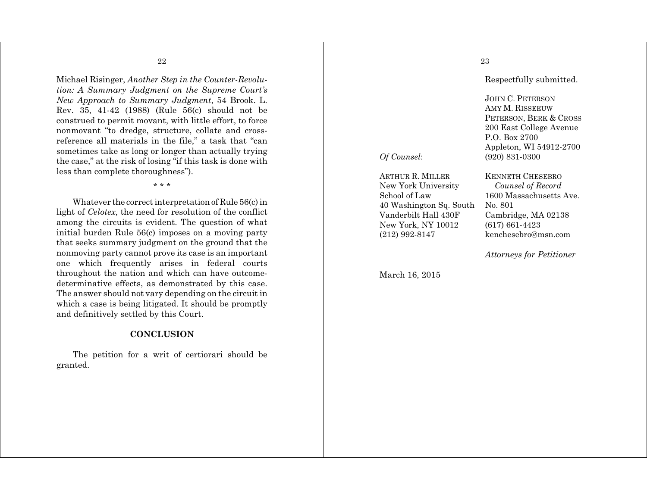Michael Risinger, *Another Step in the Counter-Revolution: A Summary Judgment on the Supreme Court's New Approach to Summary Judgment*, 54 Brook. L. Rev. 35, 41-42 (1988) (Rule 56(c) should not be construed to permit movant, with little effort, to force nonmovant "to dredge, structure, collate and crossreference all materials in the file," a task that "can sometimes take as long or longer than actually trying the case," at the risk of losing "if this task is done with less than complete thoroughness").

\* \* \*

Whatever the correct interpretation of Rule 56(c) in light of *Celotex*, the need for resolution of the conflict among the circuits is evident. The question of what initial burden Rule 56(c) imposes on a moving party that seeks summary judgment on the ground that the nonmoving party cannot prove its case is an important one which frequently arises in federal courts throughout the nation and which can have outcomedeterminative effects, as demonstrated by this case. The answer should not vary depending on the circuit in which a case is being litigated. It should be promptly and definitively settled by this Court.

# **CONCLUSION**

The petition for a writ of certiorari should be granted.

# 23

Respectfully submitted.

JOHN C. PETERSON AMY M. RISSEEUW PETERSON, BERK & CROSS 200 East College Avenue P.O. Box 2700 Appleton, WI 54912-2700 *Of Counsel*: (920) 831-0300

KENNETH CHESEBRO

ARTHUR R. MILLER New York University *Counsel of Record* School of Law 1600 Massachusetts Ave. 40 Washington Sq. South No. 801 Vanderbilt Hall 430F Cambridge, MA 02138 New York, NY 10012 (617) 661-4423 (212) 992-8147 kenchesebro@msn.com

*Attorneys for Petitioner*

March 16, 2015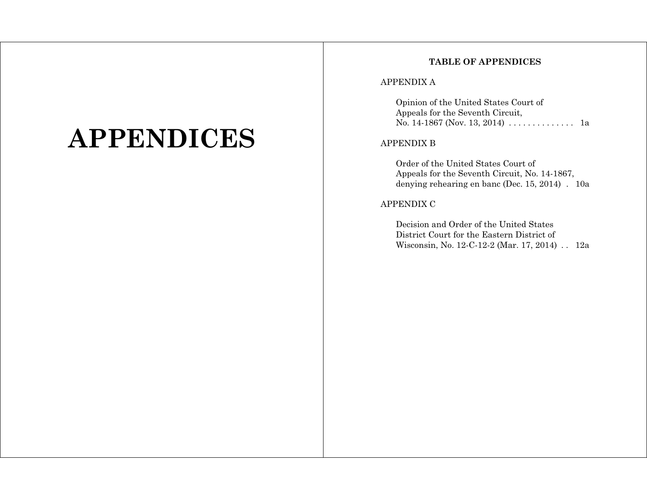# **APPENDICES**

# **TABLE OF APPENDICES**

# APPENDIX A

Opinion of the United States Court of Appeals for the Seventh Circuit, No. 14-1867 (Nov. 13, 2014) . . . . . . . . . . . . . . 1a

# APPENDIX B

Order of the United States Court of Appeals for the Seventh Circuit, No. 14-1867, denying rehearing en banc (Dec. 15, 2014) . 10a

## APPENDIX C

Decision and Order of the United States District Court for the Eastern District of Wisconsin, No. 12-C-12-2 (Mar. 17, 2014) . . 12a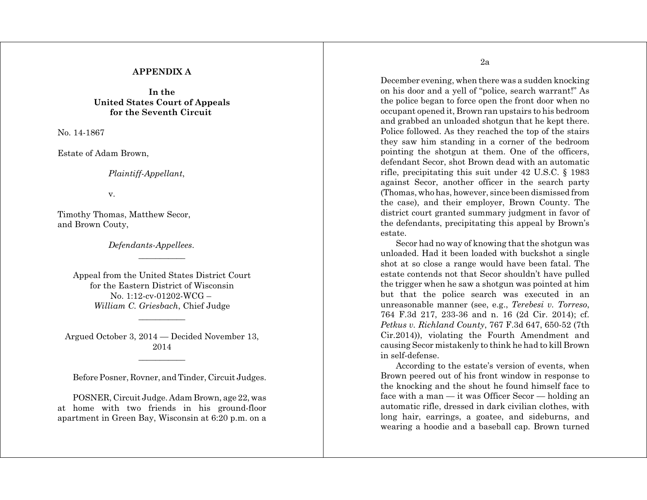# **APPENDIX A**

**In the United States Court of Appeals for the Seventh Circuit** 

No. 14-1867

Estate of Adam Brown,

*Plaintiff-Appellant*,

v.

Timothy Thomas, Matthew Secor, and Brown Couty,

*Defendants-Appellees*.

Appeal from the United States District Court for the Eastern District of Wisconsin No. 1:12-cv-01202-WCG – *William C. Griesbach*, Chief Judge

Argued October 3, 2014 — Decided November 13, 2014

\_\_\_\_\_\_\_\_\_\_\_

Before Posner, Rovner, and Tinder, Circuit Judges.

POSNER, Circuit Judge. Adam Brown, age 22, was at home with two friends in his ground-floor apartment in Green Bay, Wisconsin at 6:20 p.m. on a 2a

December evening, when there was a sudden knocking on his door and a yell of "police, search warrant!" As the police began to force open the front door when no occupant opened it, Brown ran upstairs to his bedroom and grabbed an unloaded shotgun that he kept there. Police followed. As they reached the top of the stairs they saw him standing in a corner of the bedroom pointing the shotgun at them. One of the officers, defendant Secor, shot Brown dead with an automatic rifle, precipitating this suit under 42 U.S.C. § 1983 against Secor, another officer in the search party (Thomas, who has, however, since been dismissed from the case), and their employer, Brown County. The district court granted summary judgment in favor of the defendants, precipitating this appeal by Brown's estate.

Secor had no way of knowing that the shotgun was unloaded. Had it been loaded with buckshot a single shot at so close a range would have been fatal. The estate contends not that Secor shouldn't have pulled the trigger when he saw a shotgun was pointed at him but that the police search was executed in an unreasonable manner (see, e.g., *Terebesi v. Torreso*, 764 F.3d 217, 233-36 and n. 16 (2d Cir. 2014); cf. *Petkus v. Richland County*, 767 F.3d 647, 650-52 (7th Cir.2014)), violating the Fourth Amendment and causing Secor mistakenly to think he had to kill Brown in self-defense.

According to the estate's version of events, when Brown peered out of his front window in response to the knocking and the shout he found himself face to face with a man — it was Officer Secor — holding an automatic rifle, dressed in dark civilian clothes, with long hair, earrings, a goatee, and sideburns, and wearing a hoodie and a baseball cap. Brown turned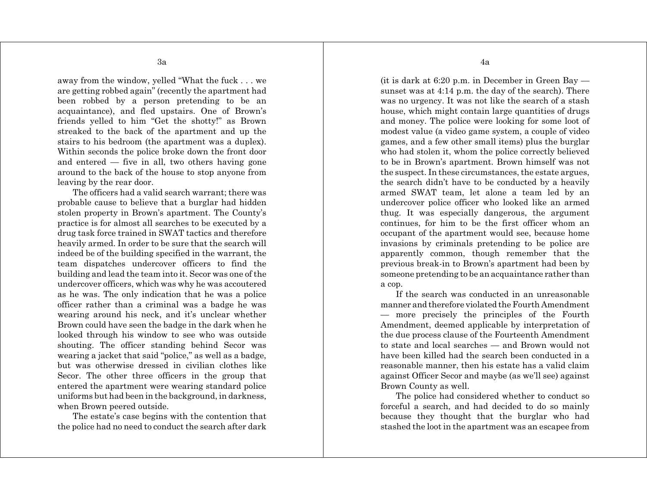away from the window, yelled "What the fuck . . . we are getting robbed again" (recently the apartment had been robbed by a person pretending to be an acquaintance), and fled upstairs. One of Brown's friends yelled to him "Get the shotty!" as Brown streaked to the back of the apartment and up the stairs to his bedroom (the apartment was a duplex). Within seconds the police broke down the front door and entered — five in all, two others having gone around to the back of the house to stop anyone from leaving by the rear door.

The officers had a valid search warrant; there was probable cause to believe that a burglar had hidden stolen property in Brown's apartment. The County's practice is for almost all searches to be executed by a drug task force trained in SWAT tactics and therefore heavily armed. In order to be sure that the search will indeed be of the building specified in the warrant, the team dispatches undercover officers to find the building and lead the team into it. Secor was one of the undercover officers, which was why he was accoutered as he was. The only indication that he was a police officer rather than a criminal was a badge he was wearing around his neck, and it's unclear whether Brown could have seen the badge in the dark when he looked through his window to see who was outside shouting. The officer standing behind Secor was wearing a jacket that said "police," as well as a badge, but was otherwise dressed in civilian clothes like Secor. The other three officers in the group that entered the apartment were wearing standard police uniforms but had been in the background, in darkness, when Brown peered outside.

The estate's case begins with the contention that the police had no need to conduct the search after dark 4a

(it is dark at 6:20 p.m. in December in Green Bay sunset was at 4:14 p.m. the day of the search). There was no urgency. It was not like the search of a stash house, which might contain large quantities of drugs and money. The police were looking for some loot of modest value (a video game system, a couple of video games, and a few other small items) plus the burglar who had stolen it, whom the police correctly believed to be in Brown's apartment. Brown himself was not the suspect. In these circumstances, the estate argues, the search didn't have to be conducted by a heavily armed SWAT team, let alone a team led by an undercover police officer who looked like an armed thug. It was especially dangerous, the argument continues, for him to be the first officer whom an occupant of the apartment would see, because home invasions by criminals pretending to be police are apparently common, though remember that the previous break-in to Brown's apartment had been by someone pretending to be an acquaintance rather than a cop.

If the search was conducted in an unreasonable manner and therefore violated the Fourth Amendment — more precisely the principles of the Fourth Amendment, deemed applicable by interpretation of the due process clause of the Fourteenth Amendment to state and local searches — and Brown would not have been killed had the search been conducted in a reasonable manner, then his estate has a valid claim against Officer Secor and maybe (as we'll see) against Brown County as well.

The police had considered whether to conduct so forceful a search, and had decided to do so mainly because they thought that the burglar who had stashed the loot in the apartment was an escapee from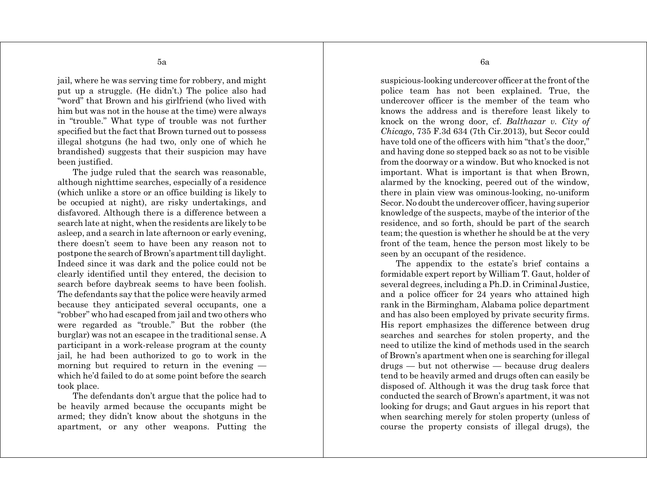jail, where he was serving time for robbery, and might put up a struggle. (He didn't.) The police also had "word" that Brown and his girlfriend (who lived with him but was not in the house at the time) were always in "trouble." What type of trouble was not further specified but the fact that Brown turned out to possess illegal shotguns (he had two, only one of which he brandished) suggests that their suspicion may have been justified.

The judge ruled that the search was reasonable. although nighttime searches, especially of a residence (which unlike a store or an office building is likely to be occupied at night), are risky undertakings, and disfavored. Although there is a difference between a search late at night, when the residents are likely to be asleep, and a search in late afternoon or early evening, there doesn't seem to have been any reason not to postpone the search of Brown's apartment till daylight. Indeed since it was dark and the police could not be clearly identified until they entered, the decision to search before daybreak seems to have been foolish. The defendants say that the police were heavily armed because they anticipated several occupants, one a "robber" who had escaped from jail and two others who were regarded as "trouble." But the robber (the burglar) was not an escapee in the traditional sense. A participant in a work-release program at the county jail, he had been authorized to go to work in the morning but required to return in the evening which he'd failed to do at some point before the search took place.

The defendants don't argue that the police had to be heavily armed because the occupants might be armed; they didn't know about the shotguns in the apartment, or any other weapons. Putting the 6a

suspicious-looking undercover officer at the front of the police team has not been explained. True, the undercover officer is the member of the team who knows the address and is therefore least likely to knock on the wrong door, cf. *Balthazar v. City of Chicago*, 735 F.3d 634 (7th Cir.2013), but Secor could have told one of the officers with him "that's the door," and having done so stepped back so as not to be visible from the doorway or a window. But who knocked is not important. What is important is that when Brown, alarmed by the knocking, peered out of the window, there in plain view was ominous-looking, no-uniform Secor. No doubt the undercover officer, having superior knowledge of the suspects, maybe of the interior of the residence, and so forth, should be part of the search team; the question is whether he should be at the very front of the team, hence the person most likely to be seen by an occupant of the residence.

The appendix to the estate's brief contains a formidable expert report by William T. Gaut, holder of several degrees, including a Ph.D. in Criminal Justice, and a police officer for 24 years who attained high rank in the Birmingham, Alabama police department and has also been employed by private security firms. His report emphasizes the difference between drug searches and searches for stolen property, and the need to utilize the kind of methods used in the search of Brown's apartment when one is searching for illegal drugs — but not otherwise — because drug dealers tend to be heavily armed and drugs often can easily be disposed of. Although it was the drug task force that conducted the search of Brown's apartment, it was not looking for drugs; and Gaut argues in his report that when searching merely for stolen property (unless of course the property consists of illegal drugs), the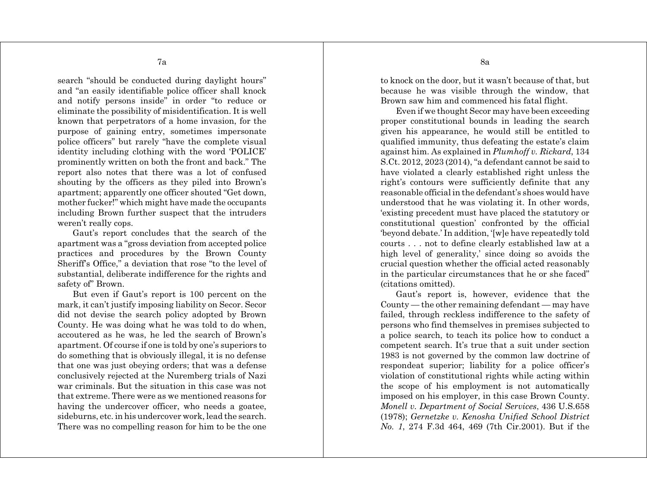search "should be conducted during daylight hours" and "an easily identifiable police officer shall knock and notify persons inside" in order "to reduce or eliminate the possibility of misidentification. It is well known that perpetrators of a home invasion, for the purpose of gaining entry, sometimes impersonate police officers" but rarely "have the complete visual identity including clothing with the word 'POLICE' prominently written on both the front and back." The report also notes that there was a lot of confused shouting by the officers as they piled into Brown's apartment; apparently one officer shouted "Get down, mother fucker!" which might have made the occupants including Brown further suspect that the intruders weren't really cops.

Gaut's report concludes that the search of the apartment was a "gross deviation from accepted police practices and procedures by the Brown County Sheriff's Office," a deviation that rose "to the level of substantial, deliberate indifference for the rights and safety of" Brown.

But even if Gaut's report is 100 percent on the mark, it can't justify imposing liability on Secor. Secor did not devise the search policy adopted by Brown County. He was doing what he was told to do when, accoutered as he was, he led the search of Brown's apartment. Of course if one is told by one's superiors to do something that is obviously illegal, it is no defense that one was just obeying orders; that was a defense conclusively rejected at the Nuremberg trials of Nazi war criminals. But the situation in this case was not that extreme. There were as we mentioned reasons for having the undercover officer, who needs a goatee, sideburns, etc. in his undercover work, lead the search. There was no compelling reason for him to be the one to knock on the door, but it wasn't because of that, but because he was visible through the window, that Brown saw him and commenced his fatal flight.

Even if we thought Secor may have been exceeding proper constitutional bounds in leading the search given his appearance, he would still be entitled to qualified immunity, thus defeating the estate's claim against him. As explained in *Plumhoff v. Rickard*, 134 S.Ct. 2012, 2023 (2014), "a defendant cannot be said to have violated a clearly established right unless the right's contours were sufficiently definite that any reasonable official in the defendant's shoes would have understood that he was violating it. In other words, 'existing precedent must have placed the statutory or constitutional question' confronted by the official 'beyond debate.' In addition, '[w]e have repeatedly told courts . . . not to define clearly established law at a high level of generality,' since doing so avoids the crucial question whether the official acted reasonably in the particular circumstances that he or she faced" (citations omitted).

Gaut's report is, however, evidence that the County — the other remaining defendant — may have failed, through reckless indifference to the safety of persons who find themselves in premises subjected to a police search, to teach its police how to conduct a competent search. It's true that a suit under section 1983 is not governed by the common law doctrine of respondeat superior; liability for a police officer's violation of constitutional rights while acting within the scope of his employment is not automatically imposed on his employer, in this case Brown County. *Monell v. Department of Social Services*, 436 U.S.658 (1978); *Gernetzke v. Kenosha Unified School District No. 1*, 274 F.3d 464, 469 (7th Cir.2001). But if the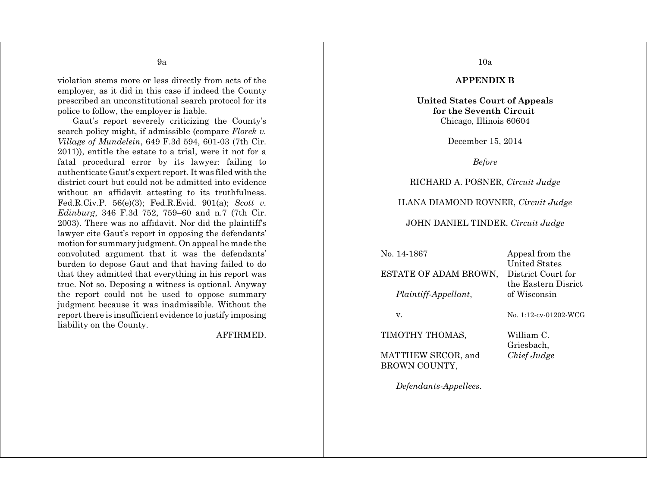violation stems more or less directly from acts of the employer, as it did in this case if indeed the County prescribed an unconstitutional search protocol for its police to follow, the employer is liable.

Gaut's report severely criticizing the County's search policy might, if admissible (compare *Florek v. Village of Mundelein*, 649 F.3d 594, 601-03 (7th Cir. 2011)), entitle the estate to a trial, were it not for a fatal procedural error by its lawyer: failing to authenticate Gaut's expert report. It was filed with the district court but could not be admitted into evidence without an affidavit attesting to its truthfulness. Fed.R.Civ.P. 56(e)(3); Fed.R.Evid. 901(a); *Scott v. Edinburg*, 346 F.3d 752, 759–60 and n.7 (7th Cir. 2003). There was no affidavit. Nor did the plaintiff's lawyer cite Gaut's report in opposing the defendants' motion for summary judgment. On appeal he made the convoluted argument that it was the defendants' burden to depose Gaut and that having failed to do that they admitted that everything in his report was true. Not so. Deposing a witness is optional. Anyway the report could not be used to oppose summary judgment because it was inadmissible. Without the report there is insufficient evidence to justify imposing liability on the County.

AFFIRMED.

10a

#### **APPENDIX B**

**United States Court of Appeals for the Seventh Circuit**  Chicago, Illinois 60604

December 15, 2014

*Before*

RICHARD A. POSNER, *Circuit Judge*

ILANA DIAMOND ROVNER, *Circuit Judge*

JOHN DANIEL TINDER, *Circuit Judge*

| No. 14-1867           | Appeal from the       |
|-----------------------|-----------------------|
|                       | United States         |
| ESTATE OF ADAM BROWN, | District Court for    |
|                       | the Eastern Disrict   |
| Plaintiff-Appellant,  | of Wisconsin          |
|                       |                       |
| V.                    | No. 1:12-cv-01202-WCG |
|                       |                       |
| TIMOTHY THOMAS,       | William C.            |
|                       | Grieshach             |

MATTHEW SECOR, and *Chief Judge* BROWN COUNTY,

*Defendants-Appellees*.

Griesbach,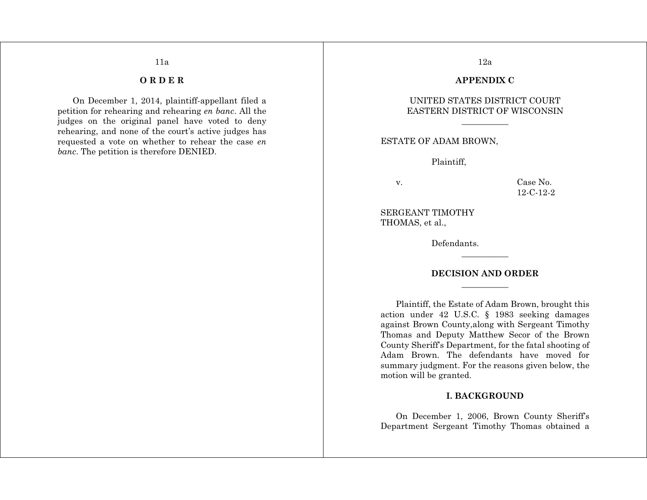# **O R D E R**

11a

On December 1, 2014, plaintiff-appellant filed a petition for rehearing and rehearing *en banc*. All the judges on the original panel have voted to deny rehearing, and none of the court's active judges has requested a vote on whether to rehear the case *en banc*. The petition is therefore DENIED.

# 12a

#### **APPENDIX C**

# UNITED STATES DISTRICT COURT EASTERN DISTRICT OF WISCONSIN

# ESTATE OF ADAM BROWN,

Plaintiff,

v. Case No. 12-C-12-2

SERGEANT TIMOTHY THOMAS, et al.,

Defendants.

#### **DECISION AND ORDER**

Plaintiff, the Estate of Adam Brown, brought this action under 42 U.S.C. § 1983 seeking damages against Brown County,along with Sergeant Timothy Thomas and Deputy Matthew Secor of the Brown County Sheriff's Department, for the fatal shooting of Adam Brown. The defendants have moved for summary judgment. For the reasons given below, the motion will be granted.

# **I. BACKGROUND**

On December 1, 2006, Brown County Sheriff's Department Sergeant Timothy Thomas obtained a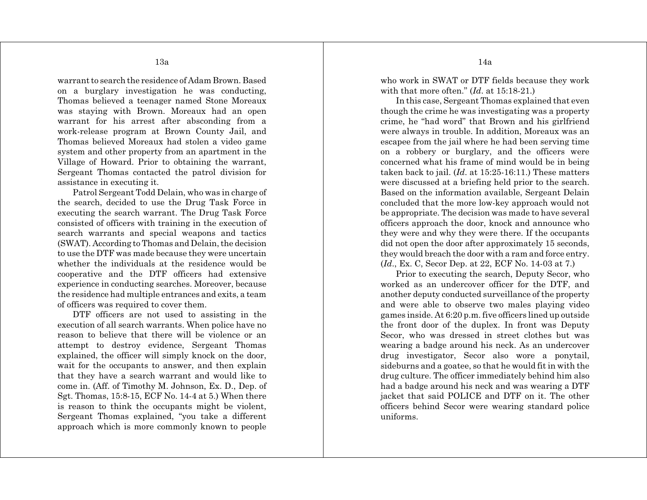warrant to search the residence of Adam Brown. Based on a burglary investigation he was conducting, Thomas believed a teenager named Stone Moreaux was staying with Brown. Moreaux had an open warrant for his arrest after absconding from a work-release program at Brown County Jail, and Thomas believed Moreaux had stolen a video game system and other property from an apartment in the Village of Howard. Prior to obtaining the warrant, Sergeant Thomas contacted the patrol division for assistance in executing it.

Patrol Sergeant Todd Delain, who was in charge of the search, decided to use the Drug Task Force in executing the search warrant. The Drug Task Force consisted of officers with training in the execution of search warrants and special weapons and tactics (SWAT). According to Thomas and Delain, the decision to use the DTF was made because they were uncertain whether the individuals at the residence would be cooperative and the DTF officers had extensive experience in conducting searches. Moreover, because the residence had multiple entrances and exits, a team of officers was required to cover them.

DTF officers are not used to assisting in the execution of all search warrants. When police have no reason to believe that there will be violence or an attempt to destroy evidence, Sergeant Thomas explained, the officer will simply knock on the door, wait for the occupants to answer, and then explain that they have a search warrant and would like to come in. (Aff. of Timothy M. Johnson, Ex. D., Dep. of Sgt. Thomas, 15:8-15, ECF No. 14-4 at 5.) When there is reason to think the occupants might be violent, Sergeant Thomas explained, "you take a different approach which is more commonly known to people who work in SWAT or DTF fields because they work with that more often." (*Id*. at 15:18-21.)

In this case, Sergeant Thomas explained that even though the crime he was investigating was a property crime, he "had word" that Brown and his girlfriend were always in trouble. In addition, Moreaux was an escapee from the jail where he had been serving time on a robbery or burglary, and the officers were concerned what his frame of mind would be in being taken back to jail. (*Id*. at 15:25-16:11.) These matters were discussed at a briefing held prior to the search. Based on the information available, Sergeant Delain concluded that the more low-key approach would not be appropriate. The decision was made to have several officers approach the door, knock and announce who they were and why they were there. If the occupants did not open the door after approximately 15 seconds, they would breach the door with a ram and force entry. (*Id*., Ex. C, Secor Dep. at 22, ECF No. 14-03 at 7.)

Prior to executing the search, Deputy Secor, who worked as an undercover officer for the DTF, and another deputy conducted surveillance of the property and were able to observe two males playing video games inside. At 6:20 p.m. five officers lined up outside the front door of the duplex. In front was Deputy Secor, who was dressed in street clothes but was wearing a badge around his neck. As an undercover drug investigator, Secor also wore a ponytail, sideburns and a goatee, so that he would fit in with the drug culture. The officer immediately behind him also had a badge around his neck and was wearing a DTF jacket that said POLICE and DTF on it. The other officers behind Secor were wearing standard police uniforms.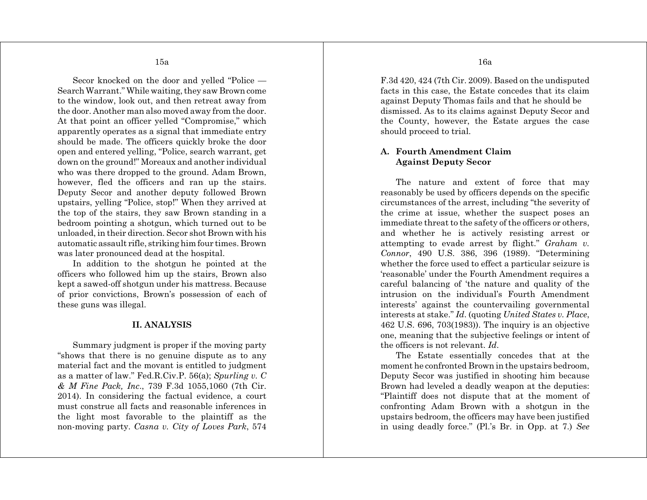Secor knocked on the door and yelled "Police — Search Warrant." While waiting, they saw Brown come to the window, look out, and then retreat away from the door. Another man also moved away from the door. At that point an officer yelled "Compromise," which apparently operates as a signal that immediate entry should be made. The officers quickly broke the door open and entered yelling, "Police, search warrant, get down on the ground!" Moreaux and another individual who was there dropped to the ground. Adam Brown, however, fled the officers and ran up the stairs. Deputy Secor and another deputy followed Brown upstairs, yelling "Police, stop!" When they arrived at the top of the stairs, they saw Brown standing in a bedroom pointing a shotgun, which turned out to be unloaded, in their direction. Secor shot Brown with his automatic assault rifle, striking him four times. Brown was later pronounced dead at the hospital.

In addition to the shotgun he pointed at the officers who followed him up the stairs, Brown also kept a sawed-off shotgun under his mattress. Because of prior convictions, Brown's possession of each of these guns was illegal.

#### **II. ANALYSIS**

Summary judgment is proper if the moving party "shows that there is no genuine dispute as to any material fact and the movant is entitled to judgment as a matter of law." Fed.R.Civ.P. 56(a); *Spurling v. C & M Fine Pack, Inc*., 739 F.3d 1055,1060 (7th Cir. 2014). In considering the factual evidence, a court must construe all facts and reasonable inferences in the light most favorable to the plaintiff as the non-moving party. *Casna v. City of Loves Park*, 574 F.3d 420, 424 (7th Cir. 2009). Based on the undisputed facts in this case, the Estate concedes that its claim against Deputy Thomas fails and that he should be dismissed. As to its claims against Deputy Secor and the County, however, the Estate argues the case should proceed to trial.

# **A. Fourth Amendment Claim Against Deputy Secor**

The nature and extent of force that may reasonably be used by officers depends on the specific circumstances of the arrest, including "the severity of the crime at issue, whether the suspect poses an immediate threat to the safety of the officers or others, and whether he is actively resisting arrest or attempting to evade arrest by flight." *Graham v. Connor*, 490 U.S. 386, 396 (1989). "Determining whether the force used to effect a particular seizure is 'reasonable' under the Fourth Amendment requires a careful balancing of 'the nature and quality of the intrusion on the individual's Fourth Amendment interests' against the countervailing governmental interests at stake." *Id*. (quoting *United States v. Place*, 462 U.S. 696, 703(1983)). The inquiry is an objective one, meaning that the subjective feelings or intent of the officers is not relevant. *Id*.

The Estate essentially concedes that at the moment he confronted Brown in the upstairs bedroom, Deputy Secor was justified in shooting him because Brown had leveled a deadly weapon at the deputies: "Plaintiff does not dispute that at the moment of confronting Adam Brown with a shotgun in the upstairs bedroom, the officers may have been justified in using deadly force." (Pl.'s Br. in Opp. at 7.) *See*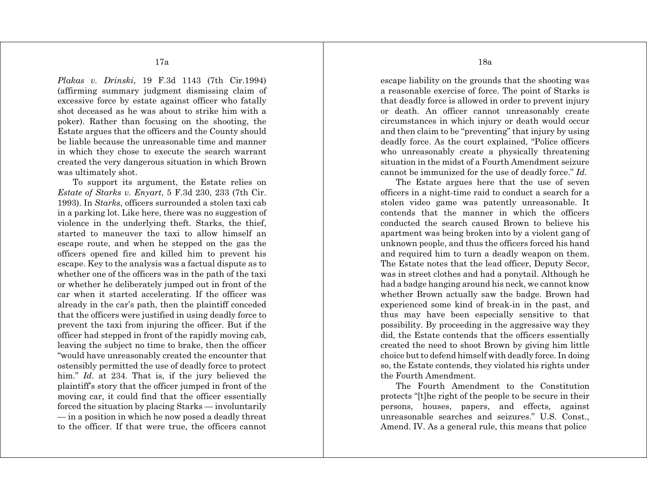*Plakas v. Drinski*, 19 F.3d 1143 (7th Cir.1994) (affirming summary judgment dismissing claim of excessive force by estate against officer who fatally shot deceased as he was about to strike him with a poker). Rather than focusing on the shooting, the Estate argues that the officers and the County should be liable because the unreasonable time and manner in which they chose to execute the search warrant created the very dangerous situation in which Brown was ultimately shot.

To support its argument, the Estate relies on *Estate of Starks v. Enyart*, 5 F.3d 230, 233 (7th Cir. 1993). In *Starks*, officers surrounded a stolen taxi cab in a parking lot. Like here, there was no suggestion of violence in the underlying theft. Starks, the thief, started to maneuver the taxi to allow himself an escape route, and when he stepped on the gas the officers opened fire and killed him to prevent his escape. Key to the analysis was a factual dispute as to whether one of the officers was in the path of the taxi or whether he deliberately jumped out in front of the car when it started accelerating. If the officer was already in the car's path, then the plaintiff conceded that the officers were justified in using deadly force to prevent the taxi from injuring the officer. But if the officer had stepped in front of the rapidly moving cab, leaving the subject no time to brake, then the officer "would have unreasonably created the encounter that ostensibly permitted the use of deadly force to protect him." *Id.* at 234. That is, if the jury believed the plaintiff's story that the officer jumped in front of the moving car, it could find that the officer essentially forced the situation by placing Starks — involuntarily — in a position in which he now posed a deadly threat to the officer. If that were true, the officers cannot

escape liability on the grounds that the shooting was a reasonable exercise of force. The point of Starks is that deadly force is allowed in order to prevent injury or death. An officer cannot unreasonably create circumstances in which injury or death would occur and then claim to be "preventing" that injury by using deadly force. As the court explained, "Police officers who unreasonably create a physically threatening situation in the midst of a Fourth Amendment seizure cannot be immunized for the use of deadly force." *Id*.

The Estate argues here that the use of seven officers in a night-time raid to conduct a search for a stolen video game was patently unreasonable. It contends that the manner in which the officers conducted the search caused Brown to believe his apartment was being broken into by a violent gang of unknown people, and thus the officers forced his hand and required him to turn a deadly weapon on them. The Estate notes that the lead officer, Deputy Secor, was in street clothes and had a ponytail. Although he had a badge hanging around his neck, we cannot know whether Brown actually saw the badge. Brown had experienced some kind of break-in in the past, and thus may have been especially sensitive to that possibility. By proceeding in the aggressive way they did, the Estate contends that the officers essentially created the need to shoot Brown by giving him little choice but to defend himself with deadly force. In doing so, the Estate contends, they violated his rights under the Fourth Amendment.

The Fourth Amendment to the Constitution protects "[t]he right of the people to be secure in their persons, houses, papers, and effects, against unreasonable searches and seizures." U.S. Const., Amend. IV. As a general rule, this means that police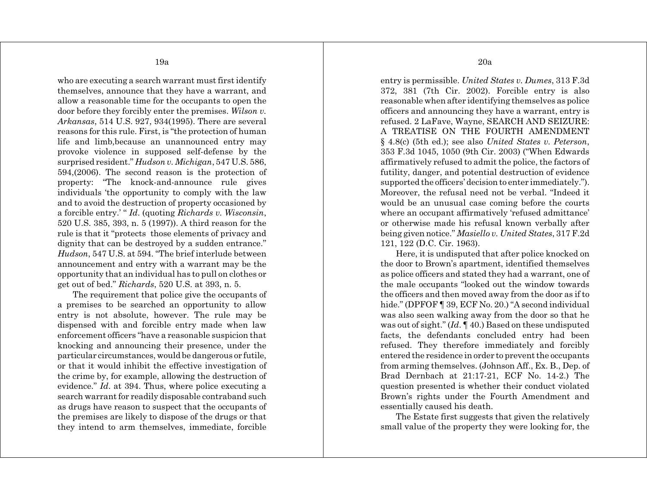who are executing a search warrant must first identify themselves, announce that they have a warrant, and allow a reasonable time for the occupants to open the door before they forcibly enter the premises. *Wilson v. Arkansas*, 514 U.S. 927, 934(1995). There are several reasons for this rule. First, is "the protection of human life and limb,because an unannounced entry may provoke violence in supposed self-defense by the surprised resident." *Hudson v. Michigan*, 547 U.S. 586, 594,(2006). The second reason is the protection of property: "The knock-and-announce rule gives individuals 'the opportunity to comply with the law and to avoid the destruction of property occasioned by a forcible entry.' " *Id*. (quoting *Richards v. Wisconsin*, 520 U.S. 385, 393, n. 5 (1997)). A third reason for the rule is that it "protects those elements of privacy and dignity that can be destroyed by a sudden entrance." *Hudson*, 547 U.S. at 594. "The brief interlude between announcement and entry with a warrant may be the opportunity that an individual has to pull on clothes or get out of bed." *Richards*, 520 U.S. at 393, n. 5.

The requirement that police give the occupants of a premises to be searched an opportunity to allow entry is not absolute, however. The rule may be dispensed with and forcible entry made when law enforcement officers "have a reasonable suspicion that knocking and announcing their presence, under the particular circumstances, would be dangerous or futile, or that it would inhibit the effective investigation of the crime by, for example, allowing the destruction of evidence." *Id*. at 394. Thus, where police executing a search warrant for readily disposable contraband such as drugs have reason to suspect that the occupants of the premises are likely to dispose of the drugs or that they intend to arm themselves, immediate, forcible 20a

entry is permissible. *United States v. Dumes*, 313 F.3d 372, 381 (7th Cir. 2002). Forcible entry is also reasonable when after identifying themselves as police officers and announcing they have a warrant, entry is refused. 2 LaFave, Wayne, SEARCH AND SEIZURE: A TREATISE ON THE FOURTH AMENDMENT § 4.8(c) (5th ed.); see also *United States v. Peterson*, 353 F.3d 1045, 1050 (9th Cir. 2003) ("When Edwards affirmatively refused to admit the police, the factors of futility, danger, and potential destruction of evidence supported the officers' decision to enter immediately."). Moreover, the refusal need not be verbal. "Indeed it would be an unusual case coming before the courts where an occupant affirmatively 'refused admittance' or otherwise made his refusal known verbally after being given notice." *Masiello v. United States*, 317 F.2d 121, 122 (D.C. Cir. 1963).

Here, it is undisputed that after police knocked on the door to Brown's apartment, identified themselves as police officers and stated they had a warrant, one of the male occupants "looked out the window towards the officers and then moved away from the door as if to hide." (DPFOF ¶ 39, ECF No. 20.) "A second individual was also seen walking away from the door so that he was out of sight." (*Id*. ¶ 40.) Based on these undisputed facts, the defendants concluded entry had been refused. They therefore immediately and forcibly entered the residence in order to prevent the occupants from arming themselves. (Johnson Aff., Ex. B., Dep. of Brad Dernbach at 21:17-21, ECF No. 14-2.) The question presented is whether their conduct violated Brown's rights under the Fourth Amendment and essentially caused his death.

The Estate first suggests that given the relatively small value of the property they were looking for, the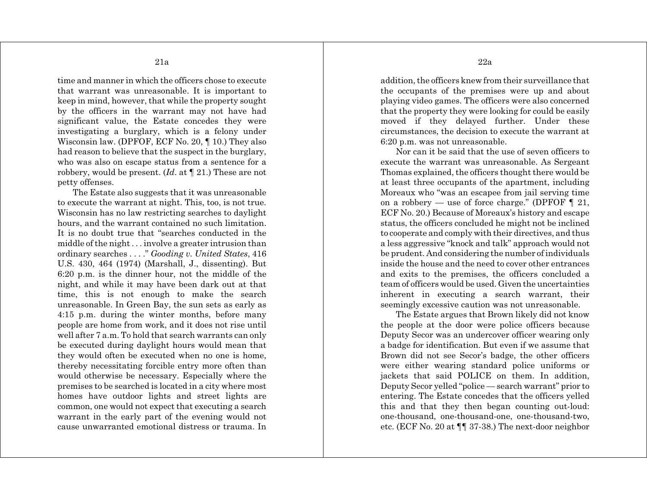time and manner in which the officers chose to execute that warrant was unreasonable. It is important to keep in mind, however, that while the property sought by the officers in the warrant may not have had significant value, the Estate concedes they were investigating a burglary, which is a felony under Wisconsin law. (DPFOF, ECF No. 20, ¶ 10.) They also had reason to believe that the suspect in the burglary, who was also on escape status from a sentence for a robbery, would be present. (*Id*. at ¶ 21.) These are not petty offenses.

The Estate also suggests that it was unreasonable to execute the warrant at night. This, too, is not true. Wisconsin has no law restricting searches to daylight hours, and the warrant contained no such limitation. It is no doubt true that "searches conducted in the middle of the night . . . involve a greater intrusion than ordinary searches . . . ." *Gooding v. United States*, 416 U.S. 430, 464 (1974) (Marshall, J., dissenting). But 6:20 p.m. is the dinner hour, not the middle of the night, and while it may have been dark out at that time, this is not enough to make the search unreasonable. In Green Bay, the sun sets as early as 4:15 p.m. during the winter months, before many people are home from work, and it does not rise until well after 7 a.m. To hold that search warrants can only be executed during daylight hours would mean that they would often be executed when no one is home, thereby necessitating forcible entry more often than would otherwise be necessary. Especially where the premises to be searched is located in a city where most homes have outdoor lights and street lights are common, one would not expect that executing a search warrant in the early part of the evening would not cause unwarranted emotional distress or trauma. In addition, the officers knew from their surveillance that the occupants of the premises were up and about playing video games. The officers were also concerned that the property they were looking for could be easily moved if they delayed further. Under these circumstances, the decision to execute the warrant at 6:20 p.m. was not unreasonable.

Nor can it be said that the use of seven officers to execute the warrant was unreasonable. As Sergeant Thomas explained, the officers thought there would be at least three occupants of the apartment, including Moreaux who "was an escapee from jail serving time on a robbery — use of force charge." (DPFOF  $\P$  21, ECF No. 20.) Because of Moreaux's history and escape status, the officers concluded he might not be inclined to cooperate and comply with their directives, and thus a less aggressive "knock and talk" approach would not be prudent. And considering the number of individuals inside the house and the need to cover other entrances and exits to the premises, the officers concluded a team of officers would be used. Given the uncertainties inherent in executing a search warrant, their seemingly excessive caution was not unreasonable.

The Estate argues that Brown likely did not know the people at the door were police officers because Deputy Secor was an undercover officer wearing only a badge for identification. But even if we assume that Brown did not see Secor's badge, the other officers were either wearing standard police uniforms or jackets that said POLICE on them. In addition, Deputy Secor yelled "police — search warrant" prior to entering. The Estate concedes that the officers yelled this and that they then began counting out-loud: one-thousand, one-thousand-one, one-thousand-two, etc. (ECF No. 20 at ¶¶ 37-38.) The next-door neighbor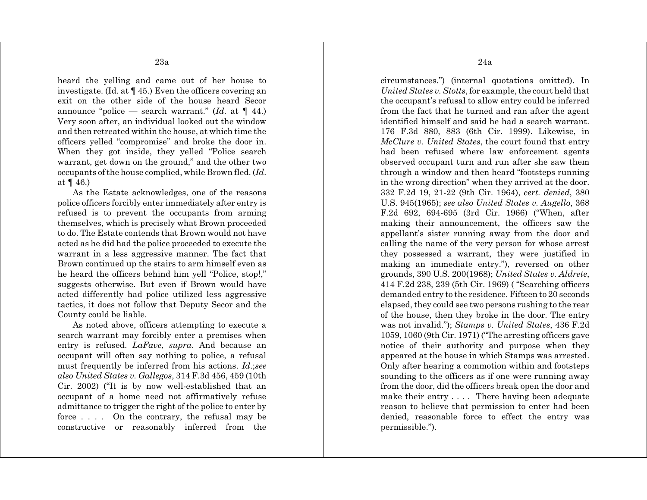heard the yelling and came out of her house to investigate. (Id. at ¶ 45.) Even the officers covering an exit on the other side of the house heard Secor announce "police — search warrant." (*Id*. at ¶ 44.) Very soon after, an individual looked out the window and then retreated within the house, at which time the officers yelled "compromise" and broke the door in. When they got inside, they yelled "Police search warrant, get down on the ground," and the other two occupants of the house complied, while Brown fled. (*Id*. at  $\P$  46.)

As the Estate acknowledges, one of the reasons police officers forcibly enter immediately after entry is refused is to prevent the occupants from arming themselves, which is precisely what Brown proceeded to do. The Estate contends that Brown would not have acted as he did had the police proceeded to execute the warrant in a less aggressive manner. The fact that Brown continued up the stairs to arm himself even as he heard the officers behind him yell "Police, stop!," suggests otherwise. But even if Brown would have acted differently had police utilized less aggressive tactics, it does not follow that Deputy Secor and the County could be liable.

As noted above, officers attempting to execute a search warrant may forcibly enter a premises when entry is refused. *LaFave*, *supra*. And because an occupant will often say nothing to police, a refusal must frequently be inferred from his actions. *Id*.;*see also United States v. Gallegos*, 314 F.3d 456, 459 (10th Cir. 2002) ("It is by now well-established that an occupant of a home need not affirmatively refuse admittance to trigger the right of the police to enter by force . . . . On the contrary, the refusal may be constructive or reasonably inferred from the

*United States v. Stotts*, for example, the court held that the occupant's refusal to allow entry could be inferred from the fact that he turned and ran after the agent identified himself and said he had a search warrant. 176 F.3d 880, 883 (6th Cir. 1999). Likewise, in *McClure v. United States*, the court found that entry had been refused where law enforcement agents observed occupant turn and run after she saw them through a window and then heard "footsteps running in the wrong direction" when they arrived at the door. 332 F.2d 19, 21-22 (9th Cir. 1964), *cert. denied*, 380 U.S. 945(1965); *see also United States v. Augello*, 368 F.2d 692, 694-695 (3rd Cir. 1966) ("When, after making their announcement, the officers saw the appellant's sister running away from the door and calling the name of the very person for whose arrest they possessed a warrant, they were justified in making an immediate entry."), reversed on other grounds, 390 U.S. 200(1968); *United States v. Aldrete*, 414 F.2d 238, 239 (5th Cir. 1969) ( "Searching officers demanded entry to the residence. Fifteen to 20 seconds elapsed, they could see two persons rushing to the rear of the house, then they broke in the door. The entry was not invalid."); *Stamps v. United States*, 436 F.2d 1059, 1060 (9th Cir. 1971) ("The arresting officers gave notice of their authority and purpose when they appeared at the house in which Stamps was arrested. Only after hearing a commotion within and footsteps sounding to the officers as if one were running away from the door, did the officers break open the door and make their entry . . . . There having been adequate reason to believe that permission to enter had been denied, reasonable force to effect the entry was permissible.").

circumstances.") (internal quotations omitted). In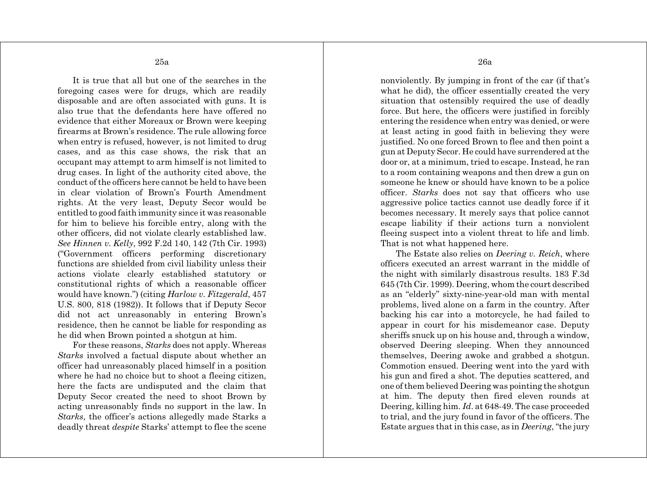It is true that all but one of the searches in the foregoing cases were for drugs, which are readily disposable and are often associated with guns. It is also true that the defendants here have offered no evidence that either Moreaux or Brown were keeping firearms at Brown's residence. The rule allowing force when entry is refused, however, is not limited to drug cases, and as this case shows, the risk that an occupant may attempt to arm himself is not limited to drug cases. In light of the authority cited above, the conduct of the officers here cannot be held to have been in clear violation of Brown's Fourth Amendment rights. At the very least, Deputy Secor would be entitled to good faith immunity since it was reasonable for him to believe his forcible entry, along with the other officers, did not violate clearly established law. *See Hinnen v. Kelly*, 992 F.2d 140, 142 (7th Cir. 1993) ("Government officers performing discretionary functions are shielded from civil liability unless their actions violate clearly established statutory or constitutional rights of which a reasonable officer would have known.") (citing *Harlow v. Fitzgerald*, 457 U.S. 800, 818 (1982)). It follows that if Deputy Secor did not act unreasonably in entering Brown's residence, then he cannot be liable for responding as he did when Brown pointed a shotgun at him.

For these reasons, *Starks* does not apply. Whereas *Starks* involved a factual dispute about whether an officer had unreasonably placed himself in a position where he had no choice but to shoot a fleeing citizen, here the facts are undisputed and the claim that Deputy Secor created the need to shoot Brown by acting unreasonably finds no support in the law. In *Starks*, the officer's actions allegedly made Starks a deadly threat *despite* Starks' attempt to flee the scene 26a

nonviolently. By jumping in front of the car (if that's what he did), the officer essentially created the very situation that ostensibly required the use of deadly force. But here, the officers were justified in forcibly entering the residence when entry was denied, or were at least acting in good faith in believing they were justified. No one forced Brown to flee and then point a gun at Deputy Secor. He could have surrendered at the door or, at a minimum, tried to escape. Instead, he ran to a room containing weapons and then drew a gun on someone he knew or should have known to be a police officer. *Starks* does not say that officers who use aggressive police tactics cannot use deadly force if it becomes necessary. It merely says that police cannot escape liability if their actions turn a nonviolent fleeing suspect into a violent threat to life and limb. That is not what happened here.

The Estate also relies on *Deering v. Reich*, where officers executed an arrest warrant in the middle of the night with similarly disastrous results. 183 F.3d 645 (7th Cir. 1999). Deering, whom the court described as an "elderly" sixty-nine-year-old man with mental problems, lived alone on a farm in the country. After backing his car into a motorcycle, he had failed to appear in court for his misdemeanor case. Deputy sheriffs snuck up on his house and, through a window, observed Deering sleeping. When they announced themselves, Deering awoke and grabbed a shotgun. Commotion ensued. Deering went into the yard with his gun and fired a shot. The deputies scattered, and one of them believed Deering was pointing the shotgun at him. The deputy then fired eleven rounds at Deering, killing him. *Id*. at 648-49. The case proceeded to trial, and the jury found in favor of the officers. The Estate argues that in this case, as in *Deering*, "the jury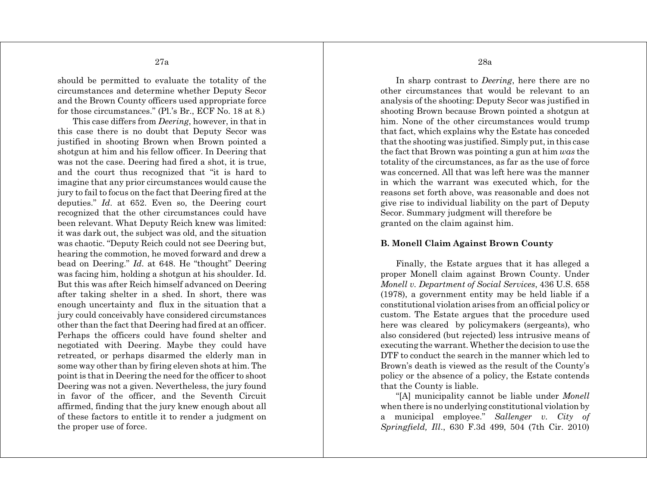should be permitted to evaluate the totality of the circumstances and determine whether Deputy Secor and the Brown County officers used appropriate force for those circumstances." (Pl.'s Br., ECF No. 18 at 8.)

This case differs from *Deering*, however, in that in this case there is no doubt that Deputy Secor was justified in shooting Brown when Brown pointed a shotgun at him and his fellow officer. In Deering that was not the case. Deering had fired a shot, it is true, and the court thus recognized that "it is hard to imagine that any prior circumstances would cause the jury to fail to focus on the fact that Deering fired at the deputies." *Id*. at 652. Even so, the Deering court recognized that the other circumstances could have been relevant. What Deputy Reich knew was limited: it was dark out, the subject was old, and the situation was chaotic. "Deputy Reich could not see Deering but, hearing the commotion, he moved forward and drew a bead on Deering." *Id*. at 648. He "thought" Deering was facing him, holding a shotgun at his shoulder. Id. But this was after Reich himself advanced on Deering after taking shelter in a shed. In short, there was enough uncertainty and flux in the situation that a jury could conceivably have considered circumstances other than the fact that Deering had fired at an officer. Perhaps the officers could have found shelter and negotiated with Deering. Maybe they could have retreated, or perhaps disarmed the elderly man in some way other than by firing eleven shots at him. The point is that in Deering the need for the officer to shoot Deering was not a given. Nevertheless, the jury found in favor of the officer, and the Seventh Circuit affirmed, finding that the jury knew enough about all of these factors to entitle it to render a judgment on the proper use of force.

28a

In sharp contrast to *Deering*, here there are no other circumstances that would be relevant to an analysis of the shooting: Deputy Secor was justified in shooting Brown because Brown pointed a shotgun at him. None of the other circumstances would trump that fact, which explains why the Estate has conceded that the shooting was justified. Simply put, in this case the fact that Brown was pointing a gun at him *was* the totality of the circumstances, as far as the use of force was concerned. All that was left here was the manner in which the warrant was executed which, for the reasons set forth above, was reasonable and does not give rise to individual liability on the part of Deputy Secor. Summary judgment will therefore be granted on the claim against him.

#### **B. Monell Claim Against Brown County**

Finally, the Estate argues that it has alleged a proper Monell claim against Brown County. Under *Monell v. Department of Social Services*, 436 U.S. 658 (1978), a government entity may be held liable if a constitutional violation arises from an official policy or custom. The Estate argues that the procedure used here was cleared by policymakers (sergeants), who also considered (but rejected) less intrusive means of executing the warrant. Whether the decision to use the DTF to conduct the search in the manner which led to Brown's death is viewed as the result of the County's policy or the absence of a policy, the Estate contends that the County is liable.

"[A] municipality cannot be liable under *Monell* when there is no underlying constitutional violation by a municipal employee." *Sallenger v. City of Springfield, Ill*., 630 F.3d 499, 504 (7th Cir. 2010)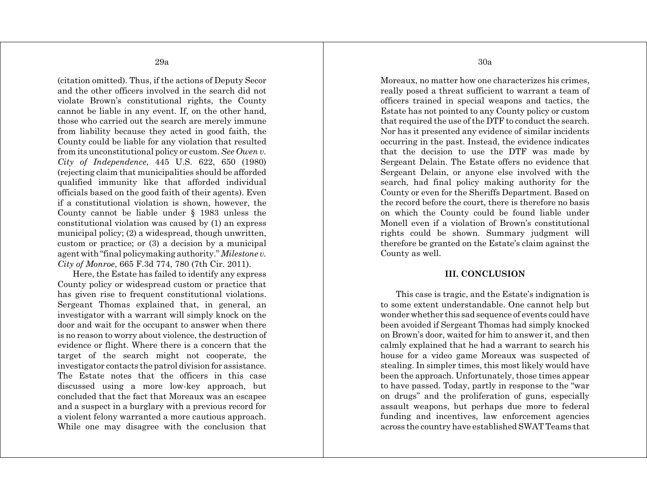(citation omitted). Thus, if the actions of Deputy Secor and the other officers involved in the search did not violate Brown's constitutional rights, the County cannot be liable in any event. If, on the other hand, those who carried out the search are merely immune from liability because they acted in good faith, the County could be liable for any violation that resulted from its unconstitutional policy or custom. *See Owen v. City of Independence*, 445 U.S. 622, 650 (1980) (rejecting claim that municipalities should be afforded qualified immunity like that afforded individual officials based on the good faith of their agents). Even if a constitutional violation is shown, however, the County cannot be liable under § 1983 unless the constitutional violation was caused by (1) an express municipal policy; (2) a widespread, though unwritten, custom or practice; or (3) a decision by a municipal agent with "final policymaking authority." *Milestone v. City of Monroe*, 665 F.3d 774, 780 (7th Cir. 2011).

Here, the Estate has failed to identify any express County policy or widespread custom or practice that has given rise to frequent constitutional violations. Sergeant Thomas explained that, in general, an investigator with a warrant will simply knock on the door and wait for the occupant to answer when there is no reason to worry about violence, the destruction of evidence or flight. Where there is a concern that the target of the search might not cooperate, the investigator contacts the patrol division for assistance. The Estate notes that the officers in this case discussed using a more low-key approach, but concluded that the fact that Moreaux was an escapee and a suspect in a burglary with a previous record for a violent felony warranted a more cautious approach. While one may disagree with the conclusion that 30a

Moreaux, no matter how one characterizes his crimes, really posed a threat sufficient to warrant a team of officers trained in special weapons and tactics, the Estate has not pointed to any County policy or custom that required the use of the DTF to conduct the search. Nor has it presented any evidence of similar incidents occurring in the past. Instead, the evidence indicates that the decision to use the DTF was made by Sergeant Delain. The Estate offers no evidence that Sergeant Delain, or anyone else involved with the search, had final policy making authority for the County or even for the Sheriffs Department. Based on the record before the court, there is therefore no basis on which the County could be found liable under Monell even if a violation of Brown's constitutional rights could be shown. Summary judgment will therefore be granted on the Estate's claim against the County as well.

### **III. CONCLUSION**

This case is tragic, and the Estate's indignation is to some extent understandable. One cannot help but wonder whether this sad sequence of events could have been avoided if Sergeant Thomas had simply knocked on Brown's door, waited for him to answer it, and then calmly explained that he had a warrant to search his house for a video game Moreaux was suspected of stealing. In simpler times, this most likely would have been the approach. Unfortunately, those times appear to have passed. Today, partly in response to the "war on drugs" and the proliferation of guns, especially assault weapons, but perhaps due more to federal funding and incentives, law enforcement agencies across the country have established SWAT Teams that